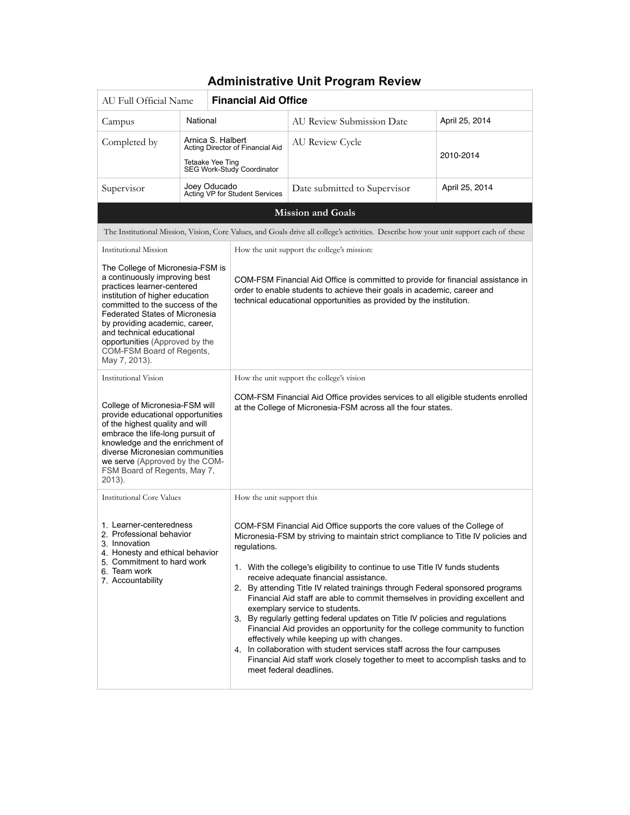| AU Full Official Name                                                                                                                                                                                                                                                                                                                                         |                                                                                                         | <b>Financial Aid Office</b>                                                                                                                                                                                                                                                                                                                                                                                                                                                                                                                                                                                                                                                                                                                                                                                                                                                                   |                                                                                                                                                                                                                                    |                                                                                                                                        |                |  |  |
|---------------------------------------------------------------------------------------------------------------------------------------------------------------------------------------------------------------------------------------------------------------------------------------------------------------------------------------------------------------|---------------------------------------------------------------------------------------------------------|-----------------------------------------------------------------------------------------------------------------------------------------------------------------------------------------------------------------------------------------------------------------------------------------------------------------------------------------------------------------------------------------------------------------------------------------------------------------------------------------------------------------------------------------------------------------------------------------------------------------------------------------------------------------------------------------------------------------------------------------------------------------------------------------------------------------------------------------------------------------------------------------------|------------------------------------------------------------------------------------------------------------------------------------------------------------------------------------------------------------------------------------|----------------------------------------------------------------------------------------------------------------------------------------|----------------|--|--|
| Campus                                                                                                                                                                                                                                                                                                                                                        | National                                                                                                |                                                                                                                                                                                                                                                                                                                                                                                                                                                                                                                                                                                                                                                                                                                                                                                                                                                                                               |                                                                                                                                                                                                                                    | <b>AU Review Submission Date</b>                                                                                                       | April 25, 2014 |  |  |
| Completed by                                                                                                                                                                                                                                                                                                                                                  | Arnica S. Halbert<br>Acting Director of Financial Aid<br>Tetaake Yee Ting<br>SEG Work-Study Coordinator |                                                                                                                                                                                                                                                                                                                                                                                                                                                                                                                                                                                                                                                                                                                                                                                                                                                                                               | <b>AU Review Cycle</b>                                                                                                                                                                                                             | 2010-2014                                                                                                                              |                |  |  |
| Supervisor                                                                                                                                                                                                                                                                                                                                                    | Joey Oducado                                                                                            |                                                                                                                                                                                                                                                                                                                                                                                                                                                                                                                                                                                                                                                                                                                                                                                                                                                                                               | Acting VP for Student Services                                                                                                                                                                                                     | Date submitted to Supervisor                                                                                                           | April 25, 2014 |  |  |
|                                                                                                                                                                                                                                                                                                                                                               |                                                                                                         |                                                                                                                                                                                                                                                                                                                                                                                                                                                                                                                                                                                                                                                                                                                                                                                                                                                                                               |                                                                                                                                                                                                                                    | <b>Mission and Goals</b>                                                                                                               |                |  |  |
|                                                                                                                                                                                                                                                                                                                                                               |                                                                                                         |                                                                                                                                                                                                                                                                                                                                                                                                                                                                                                                                                                                                                                                                                                                                                                                                                                                                                               |                                                                                                                                                                                                                                    | The Institutional Mission, Vision, Core Values, and Goals drive all college's activities. Describe how your unit support each of these |                |  |  |
| Institutional Mission                                                                                                                                                                                                                                                                                                                                         |                                                                                                         |                                                                                                                                                                                                                                                                                                                                                                                                                                                                                                                                                                                                                                                                                                                                                                                                                                                                                               |                                                                                                                                                                                                                                    | How the unit support the college's mission:                                                                                            |                |  |  |
| The College of Micronesia-FSM is<br>a continuously improving best<br>practices learner-centered<br>institution of higher education<br>committed to the success of the<br><b>Federated States of Micronesia</b><br>by providing academic, career,<br>and technical educational<br>opportunities (Approved by the<br>COM-FSM Board of Regents,<br>May 7, 2013). |                                                                                                         |                                                                                                                                                                                                                                                                                                                                                                                                                                                                                                                                                                                                                                                                                                                                                                                                                                                                                               | COM-FSM Financial Aid Office is committed to provide for financial assistance in<br>order to enable students to achieve their goals in academic, career and<br>technical educational opportunities as provided by the institution. |                                                                                                                                        |                |  |  |
| Institutional Vision                                                                                                                                                                                                                                                                                                                                          |                                                                                                         |                                                                                                                                                                                                                                                                                                                                                                                                                                                                                                                                                                                                                                                                                                                                                                                                                                                                                               | How the unit support the college's vision                                                                                                                                                                                          |                                                                                                                                        |                |  |  |
| College of Micronesia-FSM will<br>provide educational opportunities<br>of the highest quality and will<br>embrace the life-long pursuit of<br>knowledge and the enrichment of<br>diverse Micronesian communities<br>we serve (Approved by the COM-<br>FSM Board of Regents, May 7,<br>2013).                                                                  |                                                                                                         |                                                                                                                                                                                                                                                                                                                                                                                                                                                                                                                                                                                                                                                                                                                                                                                                                                                                                               | COM-FSM Financial Aid Office provides services to all eligible students enrolled<br>at the College of Micronesia-FSM across all the four states.                                                                                   |                                                                                                                                        |                |  |  |
| <b>Institutional Core Values</b>                                                                                                                                                                                                                                                                                                                              |                                                                                                         |                                                                                                                                                                                                                                                                                                                                                                                                                                                                                                                                                                                                                                                                                                                                                                                                                                                                                               | How the unit support this                                                                                                                                                                                                          |                                                                                                                                        |                |  |  |
| 1. Learner-centeredness<br>2. Professional behavior<br>3. Innovation<br>regulations.<br>4. Honesty and ethical behavior<br>5. Commitment to hard work<br>6. Team work<br>7. Accountability                                                                                                                                                                    |                                                                                                         | COM-FSM Financial Aid Office supports the core values of the College of<br>Micronesia-FSM by striving to maintain strict compliance to Title IV policies and<br>1. With the college's eligibility to continue to use Title IV funds students<br>receive adequate financial assistance.<br>2. By attending Title IV related trainings through Federal sponsored programs<br>Financial Aid staff are able to commit themselves in providing excellent and<br>exemplary service to students.<br>3. By regularly getting federal updates on Title IV policies and regulations<br>Financial Aid provides an opportunity for the college community to function<br>effectively while keeping up with changes.<br>4. In collaboration with student services staff across the four campuses<br>Financial Aid staff work closely together to meet to accomplish tasks and to<br>meet federal deadlines. |                                                                                                                                                                                                                                    |                                                                                                                                        |                |  |  |

### **Administrative Unit Program Review**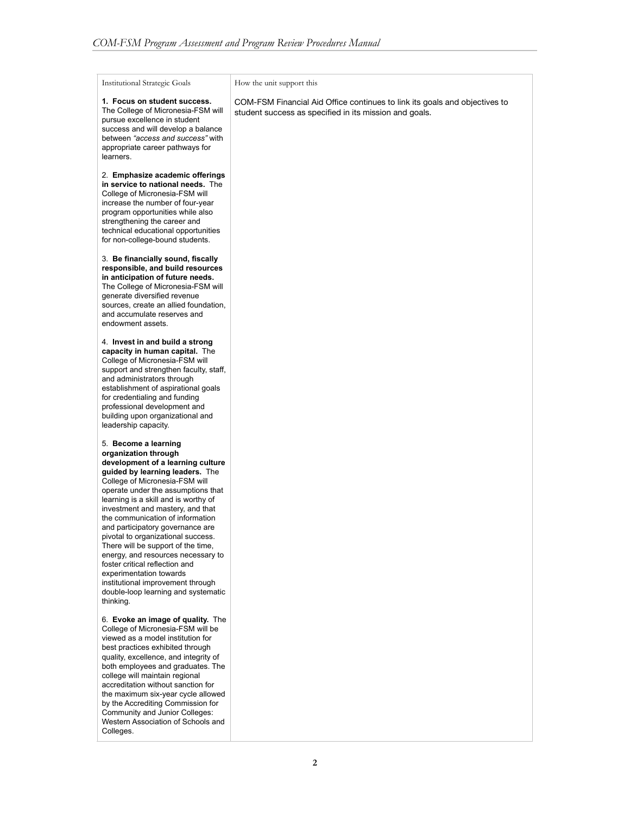Institutional Strategic Goals

learners.

**1. Focus on student success.**  The College of Micronesia-FSM will pursue excellence in student success and will develop a balance between *"access and success"* with appropriate career pathways for

2. **Emphasize academic offerings in service to national needs.** The College of Micronesia-FSM will increase the number of four-year program opportunities while also strengthening the career and technical educational opportunities for non-college-bound students.

3. **Be financially sound, fiscally responsible, and build resources in anticipation of future needs.**  The College of Micronesia-FSM will generate diversified revenue sources, create an allied foundation, and accumulate reserves and endowment assets.

4. **Invest in and build a strong capacity in human capital.** The College of Micronesia-FSM will support and strengthen faculty, staff, and administrators through establishment of aspirational goals for credentialing and funding professional development and building upon organizational and leadership capacity.

5. **Become a learning organization through development of a learning culture guided by learning leaders.** The College of Micronesia-FSM will operate under the assumptions that learning is a skill and is worthy of investment and mastery, and that the communication of information and participatory governance are pivotal to organizational success. There will be support of the time, energy, and resources necessary to foster critical reflection and experimentation towards institutional improvement through double-loop learning and systematic thinking.

6. **Evoke an image of quality.** The College of Micronesia-FSM will be viewed as a model institution for best practices exhibited through quality, excellence, and integrity of both employees and graduates. The college will maintain regional accreditation without sanction for the maximum six-year cycle allowed by the Accrediting Commission for Community and Junior Colleges: Western Association of Schools and Colleges.

How the unit support this

COM-FSM Financial Aid Office continues to link its goals and objectives to student success as specified in its mission and goals.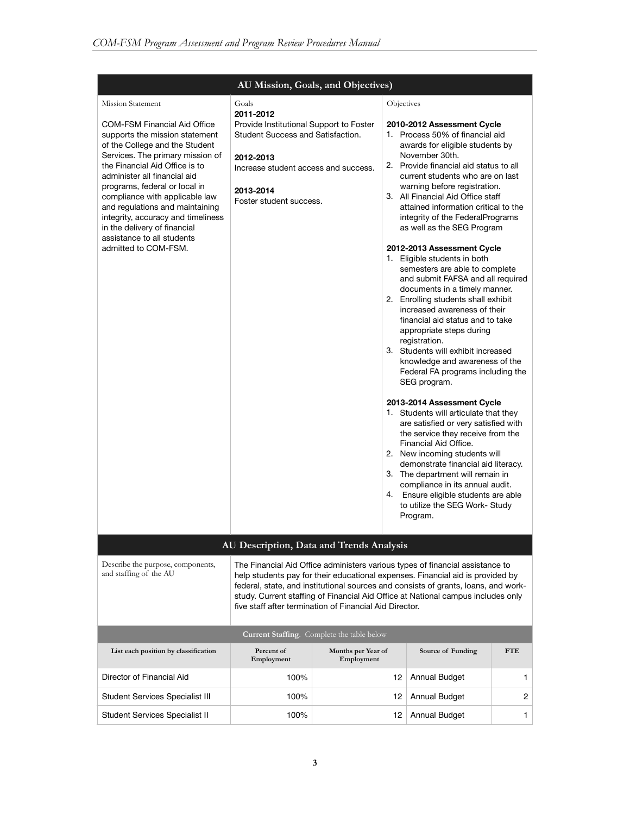|                                                                                                                                                                                                                                                                                                                                                                                                                                                                             | AU Mission, Goals, and Objectives)                                                                                                                                                              |                                            |            |                                                                                                                                                                                                                                                                                                                                                                                                                                                                                                                                                                                                                                                                                                                                                                                                                                                                                                                                                                                                                                                                                                                                                                                                                                                             |            |
|-----------------------------------------------------------------------------------------------------------------------------------------------------------------------------------------------------------------------------------------------------------------------------------------------------------------------------------------------------------------------------------------------------------------------------------------------------------------------------|-------------------------------------------------------------------------------------------------------------------------------------------------------------------------------------------------|--------------------------------------------|------------|-------------------------------------------------------------------------------------------------------------------------------------------------------------------------------------------------------------------------------------------------------------------------------------------------------------------------------------------------------------------------------------------------------------------------------------------------------------------------------------------------------------------------------------------------------------------------------------------------------------------------------------------------------------------------------------------------------------------------------------------------------------------------------------------------------------------------------------------------------------------------------------------------------------------------------------------------------------------------------------------------------------------------------------------------------------------------------------------------------------------------------------------------------------------------------------------------------------------------------------------------------------|------------|
| <b>Mission Statement</b><br><b>COM-FSM Financial Aid Office</b><br>supports the mission statement<br>of the College and the Student<br>Services. The primary mission of<br>the Financial Aid Office is to<br>administer all financial aid<br>programs, federal or local in<br>compliance with applicable law<br>and regulations and maintaining<br>integrity, accuracy and timeliness<br>in the delivery of financial<br>assistance to all students<br>admitted to COM-FSM. | Goals<br>2011-2012<br>Provide Institutional Support to Foster<br>Student Success and Satisfaction.<br>2012-2013<br>Increase student access and success.<br>2013-2014<br>Foster student success. |                                            | Objectives | 2010-2012 Assessment Cycle<br>1. Process 50% of financial aid<br>awards for eligible students by<br>November 30th.<br>2. Provide financial aid status to all<br>current students who are on last<br>warning before registration.<br>3. All Financial Aid Office staff<br>attained information critical to the<br>integrity of the FederalPrograms<br>as well as the SEG Program<br>2012-2013 Assessment Cycle<br>1. Eligible students in both<br>semesters are able to complete<br>and submit FAFSA and all required<br>documents in a timely manner.<br>2. Enrolling students shall exhibit<br>increased awareness of their<br>financial aid status and to take<br>appropriate steps during<br>registration.<br>3. Students will exhibit increased<br>knowledge and awareness of the<br>Federal FA programs including the<br>SEG program.<br>2013-2014 Assessment Cycle<br>1. Students will articulate that they<br>are satisfied or very satisfied with<br>the service they receive from the<br>Financial Aid Office.<br>2. New incoming students will<br>demonstrate financial aid literacy.<br>3. The department will remain in<br>compliance in its annual audit.<br>4. Ensure eligible students are able<br>to utilize the SEG Work-Study<br>Program. |            |
|                                                                                                                                                                                                                                                                                                                                                                                                                                                                             | AU Description, Data and Trends Analysis                                                                                                                                                        |                                            |            |                                                                                                                                                                                                                                                                                                                                                                                                                                                                                                                                                                                                                                                                                                                                                                                                                                                                                                                                                                                                                                                                                                                                                                                                                                                             |            |
| Describe the purpose, components,<br>and staffing of the AU                                                                                                                                                                                                                                                                                                                                                                                                                 | five staff after termination of Financial Aid Director.                                                                                                                                         |                                            |            | The Financial Aid Office administers various types of financial assistance to<br>help students pay for their educational expenses. Financial aid is provided by<br>federal, state, and institutional sources and consists of grants, loans, and work-<br>study. Current staffing of Financial Aid Office at National campus includes only                                                                                                                                                                                                                                                                                                                                                                                                                                                                                                                                                                                                                                                                                                                                                                                                                                                                                                                   |            |
|                                                                                                                                                                                                                                                                                                                                                                                                                                                                             |                                                                                                                                                                                                 | Current Staffing. Complete the table below |            |                                                                                                                                                                                                                                                                                                                                                                                                                                                                                                                                                                                                                                                                                                                                                                                                                                                                                                                                                                                                                                                                                                                                                                                                                                                             |            |
| List each position by classification                                                                                                                                                                                                                                                                                                                                                                                                                                        | Percent of<br>Employment                                                                                                                                                                        | Months per Year of<br>Employment           |            | Source of Funding                                                                                                                                                                                                                                                                                                                                                                                                                                                                                                                                                                                                                                                                                                                                                                                                                                                                                                                                                                                                                                                                                                                                                                                                                                           | <b>FTE</b> |
| Director of Financial Aid                                                                                                                                                                                                                                                                                                                                                                                                                                                   | 100%                                                                                                                                                                                            |                                            | 12         | <b>Annual Budget</b>                                                                                                                                                                                                                                                                                                                                                                                                                                                                                                                                                                                                                                                                                                                                                                                                                                                                                                                                                                                                                                                                                                                                                                                                                                        | 1          |
| Student Services Specialist III                                                                                                                                                                                                                                                                                                                                                                                                                                             | 100%                                                                                                                                                                                            |                                            | 12         | <b>Annual Budget</b>                                                                                                                                                                                                                                                                                                                                                                                                                                                                                                                                                                                                                                                                                                                                                                                                                                                                                                                                                                                                                                                                                                                                                                                                                                        | 2          |
| Student Services Specialist II                                                                                                                                                                                                                                                                                                                                                                                                                                              | 100%                                                                                                                                                                                            |                                            | 12         | <b>Annual Budget</b>                                                                                                                                                                                                                                                                                                                                                                                                                                                                                                                                                                                                                                                                                                                                                                                                                                                                                                                                                                                                                                                                                                                                                                                                                                        | 1          |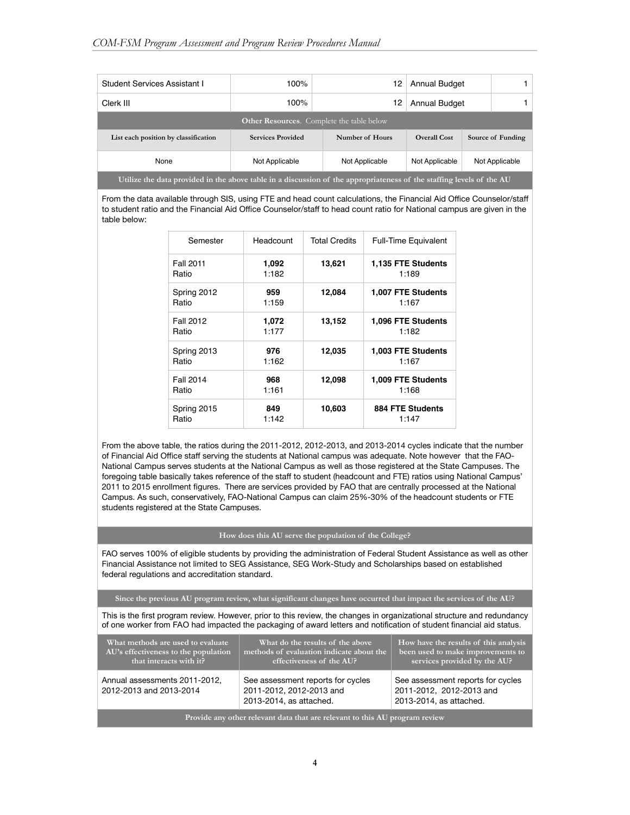| <b>Student Services Assistant I</b>                                                                                  | 100%                                                                 | 12              | <b>Annual Budget</b>                     |  |  |  |  |
|----------------------------------------------------------------------------------------------------------------------|----------------------------------------------------------------------|-----------------|------------------------------------------|--|--|--|--|
| Clerk III                                                                                                            | 100%                                                                 | 12              | <b>Annual Budget</b>                     |  |  |  |  |
| <b>Other Resources.</b> Complete the table below                                                                     |                                                                      |                 |                                          |  |  |  |  |
| List each position by classification                                                                                 | <b>Services Provided</b>                                             | Number of Hours | <b>Overall Cost</b><br>Source of Funding |  |  |  |  |
| None                                                                                                                 | Not Applicable<br>Not Applicable<br>Not Applicable<br>Not Applicable |                 |                                          |  |  |  |  |
| Utilize the data provided in the above table in a discussion of the appropriateness of the staffing levels of the AU |                                                                      |                 |                                          |  |  |  |  |

From the data available through SIS, using FTE and head count calculations, the Financial Aid Office Counselor/staff to student ratio and the Financial Aid Office Counselor/staff to head count ratio for National campus are given in the table below:

| Semester         | Headcount | <b>Total Credits</b> | <b>Full-Time Equivalent</b> |
|------------------|-----------|----------------------|-----------------------------|
| <b>Fall 2011</b> | 1,092     | 13,621               | 1,135 FTE Students          |
| Ratio            | 1:182     |                      | 1:189                       |
| Spring 2012      | 959       | 12,084               | 1,007 FTE Students          |
| Ratio            | 1:159     |                      | 1:167                       |
| Fall 2012        | 1,072     | 13,152               | 1,096 FTE Students          |
| Ratio            | 1:177     |                      | 1:182                       |
| Spring 2013      | 976       | 12,035               | 1,003 FTE Students          |
| Ratio            | 1:162     |                      | 1:167                       |
| Fall 2014        | 968       | 12,098               | 1,009 FTE Students          |
| Ratio            | 1:161     |                      | 1:168                       |
| Spring 2015      | 849       | 10,603               | 884 FTE Students            |
| Ratio            | 1:142     |                      | 1:147                       |

From the above table, the ratios during the 2011-2012, 2012-2013, and 2013-2014 cycles indicate that the number of Financial Aid Office staff serving the students at National campus was adequate. Note however that the FAO-National Campus serves students at the National Campus as well as those registered at the State Campuses. The foregoing table basically takes reference of the staff to student (headcount and FTE) ratios using National Campus' 2011 to 2015 enrollment figures. There are services provided by FAO that are centrally processed at the National Campus. As such, conservatively, FAO-National Campus can claim 25%-30% of the headcount students or FTE students registered at the State Campuses.

#### **How does this AU serve the population of the College?**

FAO serves 100% of eligible students by providing the administration of Federal Student Assistance as well as other Financial Assistance not limited to SEG Assistance, SEG Work-Study and Scholarships based on established federal regulations and accreditation standard.

**Since the previous AU program review, what significant changes have occurred that impact the services of the AU?**

This is the first program review. However, prior to this review, the changes in organizational structure and redundancy of one worker from FAO had impacted the packaging of award letters and notification of student financial aid status.

| What methods are used to evaluate<br>AU's effectiveness to the population<br>that interacts with it? | What do the results of the above<br>methods of evaluation indicate about the<br>effectiveness of the AU? | How have the results of this analysis<br>been used to make improvements to<br>services provided by the AU? |  |  |  |
|------------------------------------------------------------------------------------------------------|----------------------------------------------------------------------------------------------------------|------------------------------------------------------------------------------------------------------------|--|--|--|
| Annual assessments 2011-2012,<br>2012-2013 and 2013-2014                                             | See assessment reports for cycles<br>2011-2012, 2012-2013 and<br>2013-2014, as attached.                 | See assessment reports for cycles<br>2011-2012, 2012-2013 and<br>2013-2014, as attached.                   |  |  |  |
| Provide any other relevant data that are relevant to this AU program review                          |                                                                                                          |                                                                                                            |  |  |  |

**4**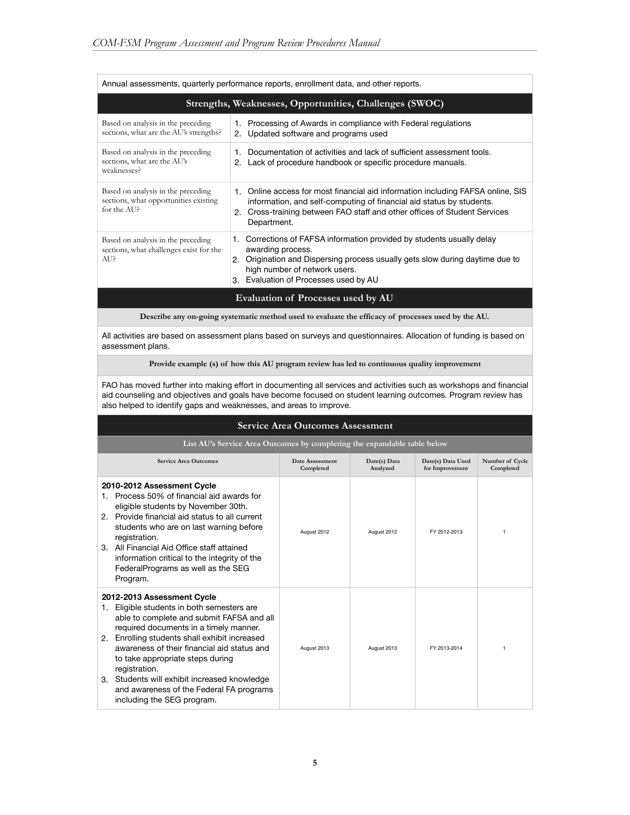| Annual assessments, quarterly performance reports, enrollment data, and other reports.     |                                                                                                                                                                                                                                                                         |  |  |  |
|--------------------------------------------------------------------------------------------|-------------------------------------------------------------------------------------------------------------------------------------------------------------------------------------------------------------------------------------------------------------------------|--|--|--|
|                                                                                            | Strengths, Weaknesses, Opportunities, Challenges (SWOC)                                                                                                                                                                                                                 |  |  |  |
| Based on analysis in the preceding<br>sections, what are the AU's strengths?               | Processing of Awards in compliance with Federal regulations<br>1.<br>Updated software and programs used<br>2.                                                                                                                                                           |  |  |  |
| Based on analysis in the preceding<br>sections, what are the AU's<br>weaknesses?           | Documentation of activities and lack of sufficient assessment tools.<br>1.<br>Lack of procedure handbook or specific procedure manuals.<br>2.                                                                                                                           |  |  |  |
| Based on analysis in the preceding<br>sections, what opportunities existing<br>for the AUP | 1. Online access for most financial aid information including FAFSA online, SIS<br>information, and self-computing of financial aid status by students.<br>Cross-training between FAO staff and other offices of Student Services<br>2.<br>Department.                  |  |  |  |
| Based on analysis in the preceding<br>sections, what challenges exist for the<br>AU?       | 1. Corrections of FAFSA information provided by students usually delay<br>awarding process.<br>Origination and Dispersing process usually gets slow during daytime due to<br>2 <sup>1</sup><br>high number of network users.<br>Evaluation of Processes used by AU<br>3 |  |  |  |
|                                                                                            | Evaluation of Processes used by AU                                                                                                                                                                                                                                      |  |  |  |

**Describe any on-going systematic method used to evaluate the efficacy of processes used by the AU.**

All activities are based on assessment plans based on surveys and questionnaires. Allocation of funding is based on assessment plans.

**Provide example (s) of how this AU program review has led to continuous quality improvement**

FAO has moved further into making effort in documenting all services and activities such as workshops and financial aid counseling and objectives and goals have become focused on student learning outcomes. Program review has also helped to identify gaps and weaknesses, and areas to improve.

#### **Service Area Outcomes Assessment**

**List AU's Service Area Outcomes by completing the expandable table below**

| <b>Service Area Outcomes</b>                                                                                                                                                                                                                                                                                                                                                                                                                         | Date Assessment<br>Completed | Date(s) Data<br>Analyzed | Date(s) Data Used<br>for Improvement | Number of Cycle<br>Completed |
|------------------------------------------------------------------------------------------------------------------------------------------------------------------------------------------------------------------------------------------------------------------------------------------------------------------------------------------------------------------------------------------------------------------------------------------------------|------------------------------|--------------------------|--------------------------------------|------------------------------|
| 2010-2012 Assessment Cycle<br>Process 50% of financial aid awards for<br>1.<br>eligible students by November 30th.<br>2. Provide financial aid status to all current<br>students who are on last warning before<br>registration.<br>All Financial Aid Office staff attained<br>$3_{-}$<br>information critical to the integrity of the<br>FederalPrograms as well as the SEG<br>Program.                                                             | August 2012                  | August 2012              | FY 2012-2013                         | 1                            |
| 2012-2013 Assessment Cycle<br>Eligible students in both semesters are<br>1.<br>able to complete and submit FAFSA and all<br>required documents in a timely manner.<br>Enrolling students shall exhibit increased<br>2.<br>awareness of their financial aid status and<br>to take appropriate steps during<br>registration.<br>3. Students will exhibit increased knowledge<br>and awareness of the Federal FA programs<br>including the SEG program. | August 2013                  | August 2013              | FY 2013-2014                         |                              |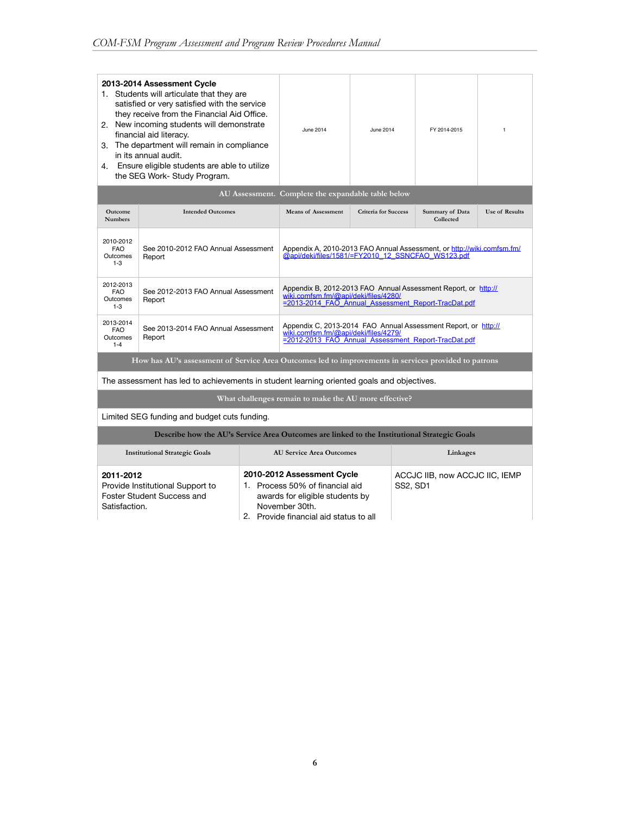| 2013-2014 Assessment Cycle<br>1. Students will articulate that they are<br>satisfied or very satisfied with the service<br>they receive from the Financial Aid Office.<br>2. New incoming students will demonstrate<br>financial aid literacy.<br>3. The department will remain in compliance<br>in its annual audit.<br>Ensure eligible students are able to utilize<br>4.<br>the SEG Work- Study Program. |                                                                                                      |                                                                                                                                                               | June 2014                                                                                                                                                               | June 2014                   |  | FY 2014-2015                        | $\mathbf{1}$          |
|-------------------------------------------------------------------------------------------------------------------------------------------------------------------------------------------------------------------------------------------------------------------------------------------------------------------------------------------------------------------------------------------------------------|------------------------------------------------------------------------------------------------------|---------------------------------------------------------------------------------------------------------------------------------------------------------------|-------------------------------------------------------------------------------------------------------------------------------------------------------------------------|-----------------------------|--|-------------------------------------|-----------------------|
|                                                                                                                                                                                                                                                                                                                                                                                                             |                                                                                                      |                                                                                                                                                               | AU Assessment. Complete the expandable table below                                                                                                                      |                             |  |                                     |                       |
| Outcome<br><b>Numbers</b>                                                                                                                                                                                                                                                                                                                                                                                   | <b>Intended Outcomes</b>                                                                             |                                                                                                                                                               | <b>Means of Assessment</b>                                                                                                                                              | <b>Criteria for Success</b> |  | <b>Summary of Data</b><br>Collected | <b>Use of Results</b> |
| 2010-2012<br>FAO.<br>Outcomes<br>$1 - 3$                                                                                                                                                                                                                                                                                                                                                                    | See 2010-2012 FAO Annual Assessment<br>Report                                                        | Appendix A, 2010-2013 FAO Annual Assessment, or http://wiki.comfsm.fm/<br>@api/deki/files/1581/=FY2010 12 SSNCFAO WS123.pdf                                   |                                                                                                                                                                         |                             |  |                                     |                       |
| 2012-2013<br><b>FAO</b><br>Outcomes<br>$1 - 3$                                                                                                                                                                                                                                                                                                                                                              | See 2012-2013 FAO Annual Assessment<br>Report                                                        | Appendix B, 2012-2013 FAO Annual Assessment Report, or http://<br>wiki.comfsm.fm/@api/deki/files/4280/<br>=2013-2014 FAO Annual Assessment Report-TracDat.pdf |                                                                                                                                                                         |                             |  |                                     |                       |
| 2013-2014<br><b>FAO</b><br>Outcomes<br>$1 - 4$                                                                                                                                                                                                                                                                                                                                                              | See 2013-2014 FAO Annual Assessment<br>Report                                                        | Appendix C, 2013-2014 FAO Annual Assessment Report, or http://<br>wiki.comfsm.fm/@api/deki/files/4279/<br>=2012-2013 FAO Annual Assessment Report-TracDat.pdf |                                                                                                                                                                         |                             |  |                                     |                       |
|                                                                                                                                                                                                                                                                                                                                                                                                             | How has AU's assessment of Service Area Outcomes led to improvements in services provided to patrons |                                                                                                                                                               |                                                                                                                                                                         |                             |  |                                     |                       |
|                                                                                                                                                                                                                                                                                                                                                                                                             | The assessment has led to achievements in student learning oriented goals and objectives.            |                                                                                                                                                               |                                                                                                                                                                         |                             |  |                                     |                       |
|                                                                                                                                                                                                                                                                                                                                                                                                             |                                                                                                      |                                                                                                                                                               | What challenges remain to make the AU more effective?                                                                                                                   |                             |  |                                     |                       |
|                                                                                                                                                                                                                                                                                                                                                                                                             | Limited SEG funding and budget cuts funding.                                                         |                                                                                                                                                               |                                                                                                                                                                         |                             |  |                                     |                       |
| Describe how the AU's Service Area Outcomes are linked to the Institutional Strategic Goals                                                                                                                                                                                                                                                                                                                 |                                                                                                      |                                                                                                                                                               |                                                                                                                                                                         |                             |  |                                     |                       |
|                                                                                                                                                                                                                                                                                                                                                                                                             | <b>Institutional Strategic Goals</b>                                                                 |                                                                                                                                                               | <b>AU Service Area Outcomes</b>                                                                                                                                         |                             |  | Linkages                            |                       |
| 2011-2012<br>Satisfaction.                                                                                                                                                                                                                                                                                                                                                                                  | Provide Institutional Support to<br>Foster Student Success and                                       |                                                                                                                                                               | 2010-2012 Assessment Cycle<br>ACCJC IIB, now ACCJC IIC, IEMP<br>1. Process 50% of financial aid<br><b>SS2, SD1</b><br>awards for eligible students by<br>November 30th. |                             |  |                                     |                       |

2. Provide financial aid status to all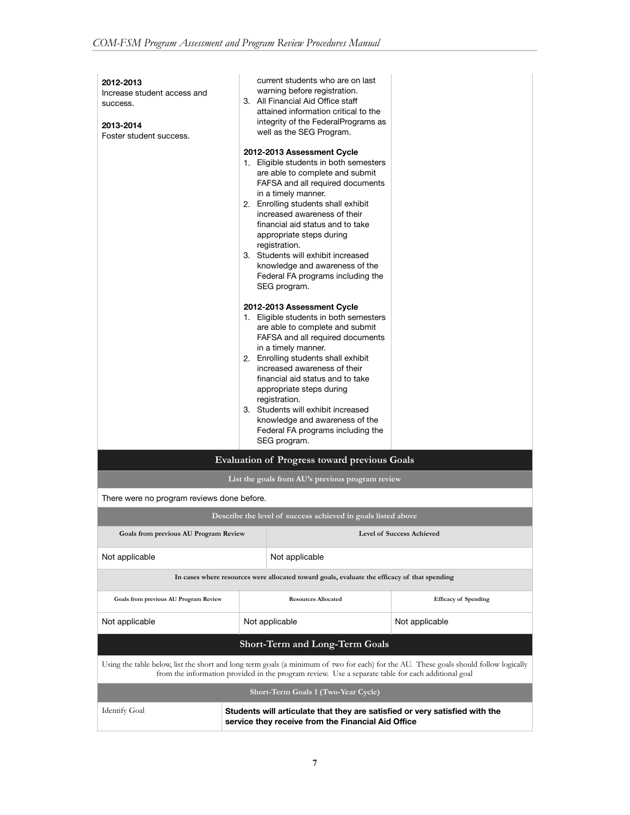| 2012-2013<br>Increase student access and<br>success.<br>2013-2014<br>Foster student success.                                                                                                                                                |  | current students who are on last<br>warning before registration.<br>3. All Financial Aid Office staff<br>attained information critical to the<br>integrity of the FederalPrograms as<br>well as the SEG Program.<br>2012-2013 Assessment Cycle<br>1. Eligible students in both semesters<br>are able to complete and submit<br>FAFSA and all required documents<br>in a timely manner.<br>2. Enrolling students shall exhibit<br>increased awareness of their<br>financial aid status and to take<br>appropriate steps during<br>registration.<br>3. Students will exhibit increased<br>knowledge and awareness of the<br>Federal FA programs including the<br>SEG program.<br>2012-2013 Assessment Cycle<br>1. Eligible students in both semesters<br>are able to complete and submit<br>FAFSA and all required documents<br>in a timely manner.<br>2. Enrolling students shall exhibit<br>increased awareness of their<br>financial aid status and to take<br>appropriate steps during<br>registration.<br>3. Students will exhibit increased<br>knowledge and awareness of the<br>Federal FA programs including the<br>SEG program. |                             |  |
|---------------------------------------------------------------------------------------------------------------------------------------------------------------------------------------------------------------------------------------------|--|----------------------------------------------------------------------------------------------------------------------------------------------------------------------------------------------------------------------------------------------------------------------------------------------------------------------------------------------------------------------------------------------------------------------------------------------------------------------------------------------------------------------------------------------------------------------------------------------------------------------------------------------------------------------------------------------------------------------------------------------------------------------------------------------------------------------------------------------------------------------------------------------------------------------------------------------------------------------------------------------------------------------------------------------------------------------------------------------------------------------------------------|-----------------------------|--|
|                                                                                                                                                                                                                                             |  | <b>Evaluation of Progress toward previous Goals</b>                                                                                                                                                                                                                                                                                                                                                                                                                                                                                                                                                                                                                                                                                                                                                                                                                                                                                                                                                                                                                                                                                    |                             |  |
|                                                                                                                                                                                                                                             |  | List the goals from AU's previous program review                                                                                                                                                                                                                                                                                                                                                                                                                                                                                                                                                                                                                                                                                                                                                                                                                                                                                                                                                                                                                                                                                       |                             |  |
| There were no program reviews done before.                                                                                                                                                                                                  |  |                                                                                                                                                                                                                                                                                                                                                                                                                                                                                                                                                                                                                                                                                                                                                                                                                                                                                                                                                                                                                                                                                                                                        |                             |  |
|                                                                                                                                                                                                                                             |  | Describe the level of success achieved in goals listed above                                                                                                                                                                                                                                                                                                                                                                                                                                                                                                                                                                                                                                                                                                                                                                                                                                                                                                                                                                                                                                                                           |                             |  |
| Goals from previous AU Program Review                                                                                                                                                                                                       |  |                                                                                                                                                                                                                                                                                                                                                                                                                                                                                                                                                                                                                                                                                                                                                                                                                                                                                                                                                                                                                                                                                                                                        | Level of Success Achieved   |  |
| Not applicable                                                                                                                                                                                                                              |  | Not applicable                                                                                                                                                                                                                                                                                                                                                                                                                                                                                                                                                                                                                                                                                                                                                                                                                                                                                                                                                                                                                                                                                                                         |                             |  |
|                                                                                                                                                                                                                                             |  | In cases where resources were allocated toward goals, evaluate the efficacy of that spending                                                                                                                                                                                                                                                                                                                                                                                                                                                                                                                                                                                                                                                                                                                                                                                                                                                                                                                                                                                                                                           |                             |  |
| Goals from previous AU Program Review                                                                                                                                                                                                       |  | <b>Resources Allocated</b>                                                                                                                                                                                                                                                                                                                                                                                                                                                                                                                                                                                                                                                                                                                                                                                                                                                                                                                                                                                                                                                                                                             | <b>Efficacy of Spending</b> |  |
| Not applicable                                                                                                                                                                                                                              |  | Not applicable                                                                                                                                                                                                                                                                                                                                                                                                                                                                                                                                                                                                                                                                                                                                                                                                                                                                                                                                                                                                                                                                                                                         | Not applicable              |  |
|                                                                                                                                                                                                                                             |  | <b>Short-Term and Long-Term Goals</b>                                                                                                                                                                                                                                                                                                                                                                                                                                                                                                                                                                                                                                                                                                                                                                                                                                                                                                                                                                                                                                                                                                  |                             |  |
| Using the table below, list the short and long term goals (a minimum of two for each) for the AU. These goals should follow logically<br>from the information provided in the program review. Use a separate table for each additional goal |  |                                                                                                                                                                                                                                                                                                                                                                                                                                                                                                                                                                                                                                                                                                                                                                                                                                                                                                                                                                                                                                                                                                                                        |                             |  |
| Short-Term Goals 1 (Two-Year Cycle)                                                                                                                                                                                                         |  |                                                                                                                                                                                                                                                                                                                                                                                                                                                                                                                                                                                                                                                                                                                                                                                                                                                                                                                                                                                                                                                                                                                                        |                             |  |
| <b>Identify Goal</b>                                                                                                                                                                                                                        |  | Students will articulate that they are satisfied or very satisfied with the<br>service they receive from the Financial Aid Office                                                                                                                                                                                                                                                                                                                                                                                                                                                                                                                                                                                                                                                                                                                                                                                                                                                                                                                                                                                                      |                             |  |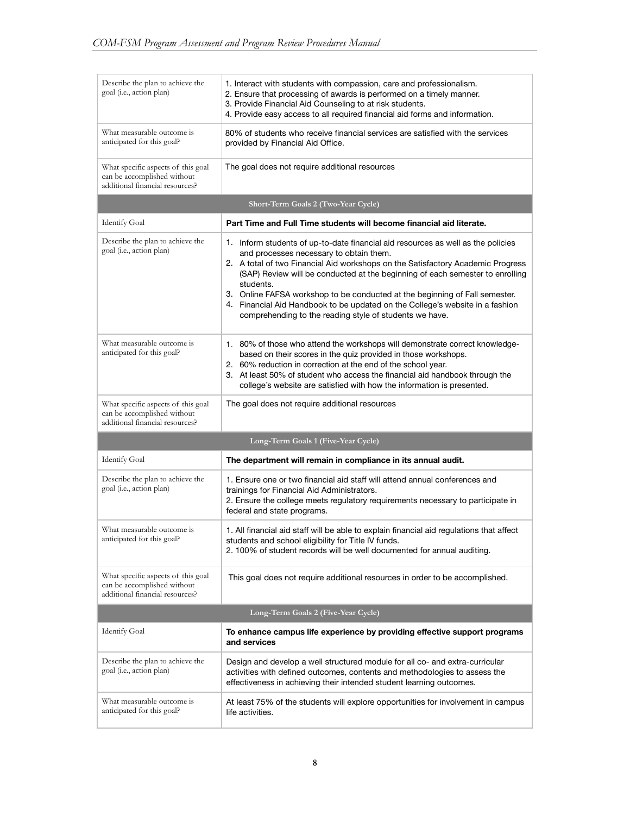| Describe the plan to achieve the<br>goal (i.e., action plan)                                         | 1. Interact with students with compassion, care and professionalism.<br>2. Ensure that processing of awards is performed on a timely manner.<br>3. Provide Financial Aid Counseling to at risk students.<br>4. Provide easy access to all required financial aid forms and information.                                                                                                                                                                                                                                                 |  |  |  |  |
|------------------------------------------------------------------------------------------------------|-----------------------------------------------------------------------------------------------------------------------------------------------------------------------------------------------------------------------------------------------------------------------------------------------------------------------------------------------------------------------------------------------------------------------------------------------------------------------------------------------------------------------------------------|--|--|--|--|
| What measurable outcome is<br>anticipated for this goal?                                             | 80% of students who receive financial services are satisfied with the services<br>provided by Financial Aid Office.                                                                                                                                                                                                                                                                                                                                                                                                                     |  |  |  |  |
| What specific aspects of this goal<br>can be accomplished without<br>additional financial resources? | The goal does not require additional resources                                                                                                                                                                                                                                                                                                                                                                                                                                                                                          |  |  |  |  |
|                                                                                                      | Short-Term Goals 2 (Two-Year Cycle)                                                                                                                                                                                                                                                                                                                                                                                                                                                                                                     |  |  |  |  |
| <b>Identify Goal</b>                                                                                 | Part Time and Full Time students will become financial aid literate.                                                                                                                                                                                                                                                                                                                                                                                                                                                                    |  |  |  |  |
| Describe the plan to achieve the<br>goal (i.e., action plan)                                         | 1. Inform students of up-to-date financial aid resources as well as the policies<br>and processes necessary to obtain them.<br>2. A total of two Financial Aid workshops on the Satisfactory Academic Progress<br>(SAP) Review will be conducted at the beginning of each semester to enrolling<br>students.<br>3. Online FAFSA workshop to be conducted at the beginning of Fall semester.<br>4. Financial Aid Handbook to be updated on the College's website in a fashion<br>comprehending to the reading style of students we have. |  |  |  |  |
| What measurable outcome is<br>anticipated for this goal?                                             | 1. 80% of those who attend the workshops will demonstrate correct knowledge-<br>based on their scores in the quiz provided in those workshops.<br>2. 60% reduction in correction at the end of the school year.<br>3. At least 50% of student who access the financial aid handbook through the<br>college's website are satisfied with how the information is presented.                                                                                                                                                               |  |  |  |  |
| What specific aspects of this goal<br>can be accomplished without<br>additional financial resources? | The goal does not require additional resources                                                                                                                                                                                                                                                                                                                                                                                                                                                                                          |  |  |  |  |
|                                                                                                      | Long-Term Goals 1 (Five-Year Cycle)                                                                                                                                                                                                                                                                                                                                                                                                                                                                                                     |  |  |  |  |
| <b>Identify Goal</b>                                                                                 | The department will remain in compliance in its annual audit.                                                                                                                                                                                                                                                                                                                                                                                                                                                                           |  |  |  |  |
| Describe the plan to achieve the<br>goal (i.e., action plan)                                         | 1. Ensure one or two financial aid staff will attend annual conferences and<br>trainings for Financial Aid Administrators.<br>2. Ensure the college meets regulatory requirements necessary to participate in<br>federal and state programs.                                                                                                                                                                                                                                                                                            |  |  |  |  |
| What measurable outcome is<br>anticipated for this goal?                                             | 1. All financial aid staff will be able to explain financial aid regulations that affect<br>students and school eligibility for Title IV funds.<br>2. 100% of student records will be well documented for annual auditing.                                                                                                                                                                                                                                                                                                              |  |  |  |  |
| What specific aspects of this goal<br>can be accomplished without<br>additional financial resources? | This goal does not require additional resources in order to be accomplished.                                                                                                                                                                                                                                                                                                                                                                                                                                                            |  |  |  |  |
| Long-Term Goals 2 (Five-Year Cycle)                                                                  |                                                                                                                                                                                                                                                                                                                                                                                                                                                                                                                                         |  |  |  |  |
| <b>Identify Goal</b>                                                                                 | To enhance campus life experience by providing effective support programs<br>and services                                                                                                                                                                                                                                                                                                                                                                                                                                               |  |  |  |  |
| Describe the plan to achieve the<br>goal (i.e., action plan)                                         | Design and develop a well structured module for all co- and extra-curricular<br>activities with defined outcomes, contents and methodologies to assess the<br>effectiveness in achieving their intended student learning outcomes.                                                                                                                                                                                                                                                                                                      |  |  |  |  |
| What measurable outcome is<br>anticipated for this goal?                                             | At least 75% of the students will explore opportunities for involvement in campus<br>life activities.                                                                                                                                                                                                                                                                                                                                                                                                                                   |  |  |  |  |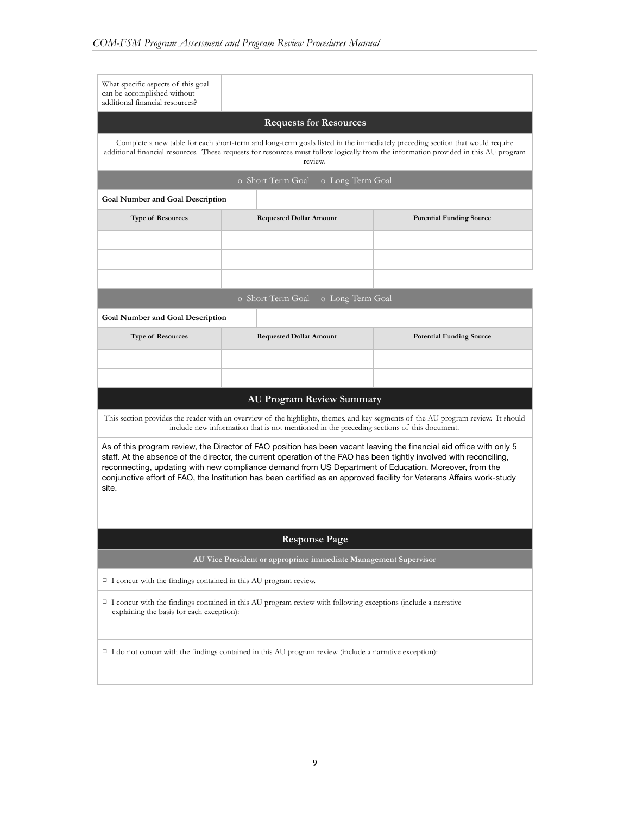| What specific aspects of this goal<br>can be accomplished without<br>additional financial resources?                                                                                                                                                                                                                                                                                                                                                                                   |                                                                                                                                        |                                                                                                                                     |  |  |  |  |
|----------------------------------------------------------------------------------------------------------------------------------------------------------------------------------------------------------------------------------------------------------------------------------------------------------------------------------------------------------------------------------------------------------------------------------------------------------------------------------------|----------------------------------------------------------------------------------------------------------------------------------------|-------------------------------------------------------------------------------------------------------------------------------------|--|--|--|--|
|                                                                                                                                                                                                                                                                                                                                                                                                                                                                                        | <b>Requests for Resources</b>                                                                                                          |                                                                                                                                     |  |  |  |  |
|                                                                                                                                                                                                                                                                                                                                                                                                                                                                                        | Complete a new table for each short-term and long-term goals listed in the immediately preceding section that would require<br>review. | additional financial resources. These requests for resources must follow logically from the information provided in this AU program |  |  |  |  |
|                                                                                                                                                                                                                                                                                                                                                                                                                                                                                        | o Short-Term Goal<br>o Long-Term Goal                                                                                                  |                                                                                                                                     |  |  |  |  |
| <b>Goal Number and Goal Description</b>                                                                                                                                                                                                                                                                                                                                                                                                                                                |                                                                                                                                        |                                                                                                                                     |  |  |  |  |
| <b>Type of Resources</b>                                                                                                                                                                                                                                                                                                                                                                                                                                                               | <b>Requested Dollar Amount</b>                                                                                                         | <b>Potential Funding Source</b>                                                                                                     |  |  |  |  |
|                                                                                                                                                                                                                                                                                                                                                                                                                                                                                        |                                                                                                                                        |                                                                                                                                     |  |  |  |  |
|                                                                                                                                                                                                                                                                                                                                                                                                                                                                                        |                                                                                                                                        |                                                                                                                                     |  |  |  |  |
|                                                                                                                                                                                                                                                                                                                                                                                                                                                                                        |                                                                                                                                        |                                                                                                                                     |  |  |  |  |
|                                                                                                                                                                                                                                                                                                                                                                                                                                                                                        | o Short-Term Goal<br>o Long-Term Goal                                                                                                  |                                                                                                                                     |  |  |  |  |
| <b>Goal Number and Goal Description</b>                                                                                                                                                                                                                                                                                                                                                                                                                                                |                                                                                                                                        |                                                                                                                                     |  |  |  |  |
| <b>Type of Resources</b>                                                                                                                                                                                                                                                                                                                                                                                                                                                               | <b>Requested Dollar Amount</b>                                                                                                         | <b>Potential Funding Source</b>                                                                                                     |  |  |  |  |
|                                                                                                                                                                                                                                                                                                                                                                                                                                                                                        |                                                                                                                                        |                                                                                                                                     |  |  |  |  |
|                                                                                                                                                                                                                                                                                                                                                                                                                                                                                        |                                                                                                                                        |                                                                                                                                     |  |  |  |  |
|                                                                                                                                                                                                                                                                                                                                                                                                                                                                                        | <b>AU Program Review Summary</b>                                                                                                       |                                                                                                                                     |  |  |  |  |
|                                                                                                                                                                                                                                                                                                                                                                                                                                                                                        | include new information that is not mentioned in the preceding sections of this document.                                              | This section provides the reader with an overview of the highlights, themes, and key segments of the AU program review. It should   |  |  |  |  |
| As of this program review, the Director of FAO position has been vacant leaving the financial aid office with only 5<br>staff. At the absence of the director, the current operation of the FAO has been tightly involved with reconciling,<br>reconnecting, updating with new compliance demand from US Department of Education. Moreover, from the<br>conjunctive effort of FAO, the Institution has been certified as an approved facility for Veterans Affairs work-study<br>site. |                                                                                                                                        |                                                                                                                                     |  |  |  |  |
| <b>Response Page</b>                                                                                                                                                                                                                                                                                                                                                                                                                                                                   |                                                                                                                                        |                                                                                                                                     |  |  |  |  |
| AU Vice President or appropriate immediate Management Supervisor                                                                                                                                                                                                                                                                                                                                                                                                                       |                                                                                                                                        |                                                                                                                                     |  |  |  |  |
| $\Box$ I concur with the findings contained in this AU program review.                                                                                                                                                                                                                                                                                                                                                                                                                 |                                                                                                                                        |                                                                                                                                     |  |  |  |  |
| $\Box$ I concur with the findings contained in this AU program review with following exceptions (include a narrative<br>explaining the basis for each exception):                                                                                                                                                                                                                                                                                                                      |                                                                                                                                        |                                                                                                                                     |  |  |  |  |
| $\Box$ I do not concur with the findings contained in this AU program review (include a narrative exception):                                                                                                                                                                                                                                                                                                                                                                          |                                                                                                                                        |                                                                                                                                     |  |  |  |  |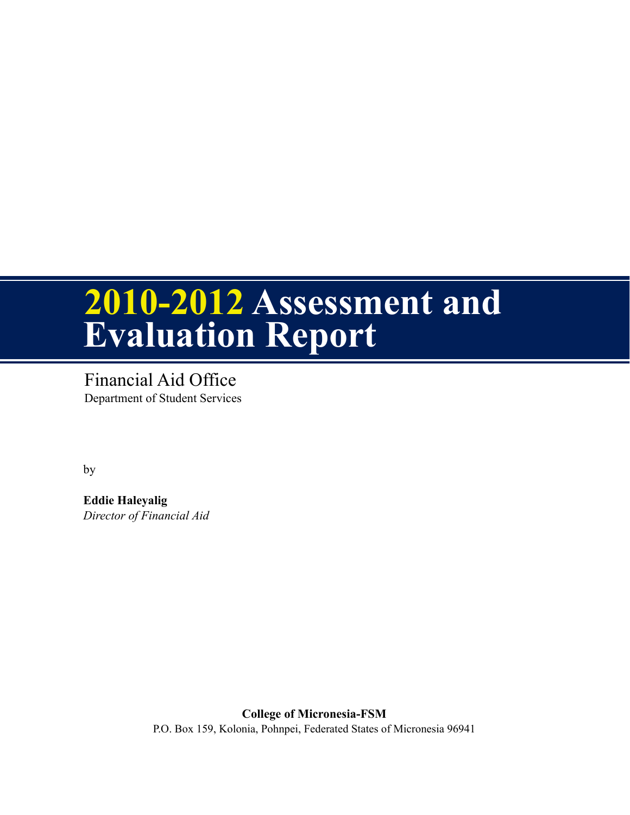# **2010-2012 Assessment and Evaluation Report**

Financial Aid Office Department of Student Services

by

**Eddie Haleyalig** *Director of Financial Aid*

> **College of Micronesia-FSM** P.O. Box 159, Kolonia, Pohnpei, Federated States of Micronesia 96941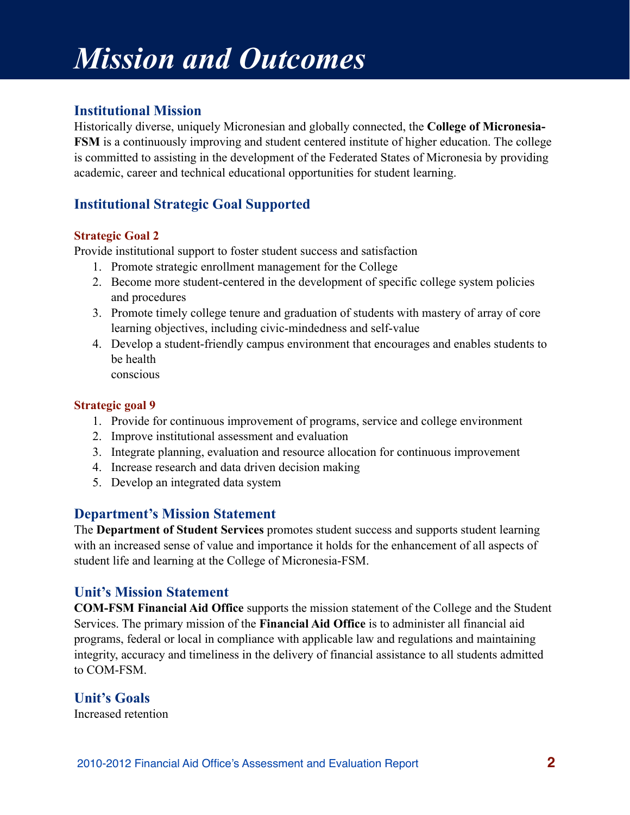## *Mission and Outcomes*

### **Institutional Mission**

Historically diverse, uniquely Micronesian and globally connected, the **College of Micronesia-FSM** is a continuously improving and student centered institute of higher education. The college is committed to assisting in the development of the Federated States of Micronesia by providing academic, career and technical educational opportunities for student learning.

### **Institutional Strategic Goal Supported**

### **Strategic Goal 2**

Provide institutional support to foster student success and satisfaction

- 1. Promote strategic enrollment management for the College
- 2. Become more student-centered in the development of specific college system policies and procedures
- 3. Promote timely college tenure and graduation of students with mastery of array of core learning objectives, including civic-mindedness and self-value
- 4. Develop a student-friendly campus environment that encourages and enables students to be health conscious

#### **Strategic goal 9**

- 1. Provide for continuous improvement of programs, service and college environment
- 2. Improve institutional assessment and evaluation
- 3. Integrate planning, evaluation and resource allocation for continuous improvement
- 4. Increase research and data driven decision making
- 5. Develop an integrated data system

### **Department's Mission Statement**

The **Department of Student Services** promotes student success and supports student learning with an increased sense of value and importance it holds for the enhancement of all aspects of student life and learning at the College of Micronesia-FSM.

### **Unit's Mission Statement**

**COM-FSM Financial Aid Office** supports the mission statement of the College and the Student Services. The primary mission of the **Financial Aid Office** is to administer all financial aid programs, federal or local in compliance with applicable law and regulations and maintaining integrity, accuracy and timeliness in the delivery of financial assistance to all students admitted to COM-FSM.

### **Unit's Goals**

Increased retention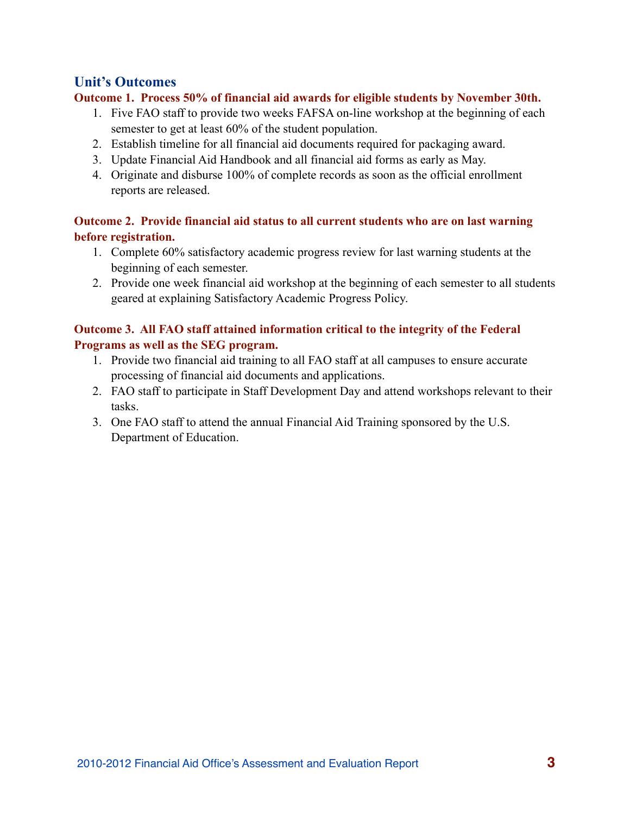### **Unit's Outcomes**

### **Outcome 1. Process 50% of financial aid awards for eligible students by November 30th.**

- 1. Five FAO staff to provide two weeks FAFSA on-line workshop at the beginning of each semester to get at least 60% of the student population.
- 2. Establish timeline for all financial aid documents required for packaging award.
- 3. Update Financial Aid Handbook and all financial aid forms as early as May.
- 4. Originate and disburse 100% of complete records as soon as the official enrollment reports are released.

### **Outcome 2. Provide financial aid status to all current students who are on last warning before registration.**

- 1. Complete 60% satisfactory academic progress review for last warning students at the beginning of each semester.
- 2. Provide one week financial aid workshop at the beginning of each semester to all students geared at explaining Satisfactory Academic Progress Policy.

### **Outcome 3. All FAO staff attained information critical to the integrity of the Federal Programs as well as the SEG program.**

- 1. Provide two financial aid training to all FAO staff at all campuses to ensure accurate processing of financial aid documents and applications.
- 2. FAO staff to participate in Staff Development Day and attend workshops relevant to their tasks.
- 3. One FAO staff to attend the annual Financial Aid Training sponsored by the U.S. Department of Education.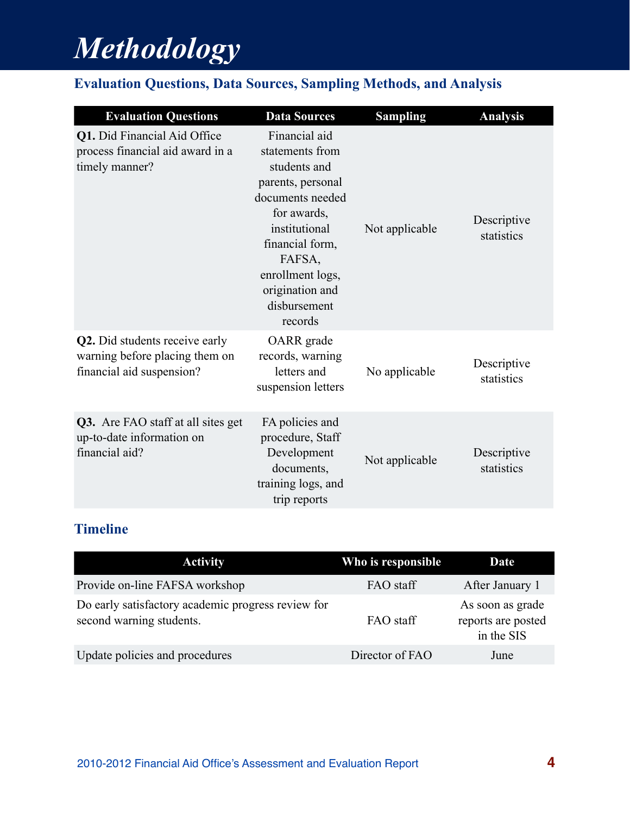## *Methodology*

## **Evaluation Questions, Data Sources, Sampling Methods, and Analysis**

| <b>Evaluation Questions</b>                                                                   | <b>Data Sources</b>                                                                                                                                                                                                      | <b>Sampling</b> | <b>Analysis</b>           |
|-----------------------------------------------------------------------------------------------|--------------------------------------------------------------------------------------------------------------------------------------------------------------------------------------------------------------------------|-----------------|---------------------------|
| Q1. Did Financial Aid Office<br>process financial aid award in a<br>timely manner?            | Financial aid<br>statements from<br>students and<br>parents, personal<br>documents needed<br>for awards,<br>institutional<br>financial form,<br>FAFSA,<br>enrollment logs,<br>origination and<br>disbursement<br>records | Not applicable  | Descriptive<br>statistics |
| Q2. Did students receive early<br>warning before placing them on<br>financial aid suspension? | OARR grade<br>records, warning<br>letters and<br>suspension letters                                                                                                                                                      | No applicable   | Descriptive<br>statistics |
| <b>Q3.</b> Are FAO staff at all sites get<br>up-to-date information on<br>financial aid?      | FA policies and<br>procedure, Staff<br>Development<br>documents,<br>training logs, and<br>trip reports                                                                                                                   | Not applicable  | Descriptive<br>statistics |

## **Timeline**

| <b>Activity</b>                                                                | Who is responsible | <b>Date</b>                                          |
|--------------------------------------------------------------------------------|--------------------|------------------------------------------------------|
| Provide on-line FAFSA workshop                                                 | FAO staff          | After January 1                                      |
| Do early satisfactory academic progress review for<br>second warning students. | FAO staff          | As soon as grade<br>reports are posted<br>in the SIS |
| Update policies and procedures                                                 | Director of FAO    | June                                                 |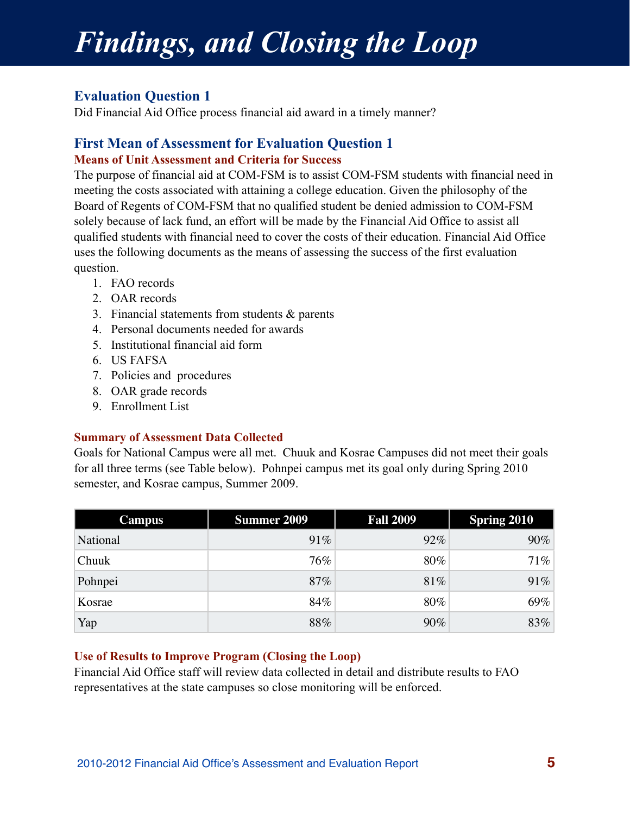# *Findings, and Closing the Loop*

### **Evaluation Question 1**

Did Financial Aid Office process financial aid award in a timely manner?

### **First Mean of Assessment for Evaluation Question 1 Means of Unit Assessment and Criteria for Success**

The purpose of financial aid at COM-FSM is to assist COM-FSM students with financial need in meeting the costs associated with attaining a college education. Given the philosophy of the Board of Regents of COM-FSM that no qualified student be denied admission to COM-FSM solely because of lack fund, an effort will be made by the Financial Aid Office to assist all qualified students with financial need to cover the costs of their education. Financial Aid Office uses the following documents as the means of assessing the success of the first evaluation question.

- 1. FAO records
- 2. OAR records
- 3. Financial statements from students & parents
- 4. Personal documents needed for awards
- 5. Institutional financial aid form
- 6. US FAFSA
- 7. Policies and procedures
- 8. OAR grade records
- 9. Enrollment List

### **Summary of Assessment Data Collected**

Goals for National Campus were all met. Chuuk and Kosrae Campuses did not meet their goals for all three terms (see Table below). Pohnpei campus met its goal only during Spring 2010 semester, and Kosrae campus, Summer 2009.

| <b>Campus</b> | <b>Summer 2009</b> | <b>Fall 2009</b> | <b>Spring 2010</b> |
|---------------|--------------------|------------------|--------------------|
| National      | 91%                | 92%              | 90%                |
| Chuuk         | 76%                | 80%              | 71%                |
| Pohnpei       | 87%                | 81%              | 91%                |
| Kosrae        | 84%                | 80%              | 69%                |
| Yap           | 88%                | 90%              | 83%                |

### **Use of Results to Improve Program (Closing the Loop)**

Financial Aid Office staff will review data collected in detail and distribute results to FAO representatives at the state campuses so close monitoring will be enforced.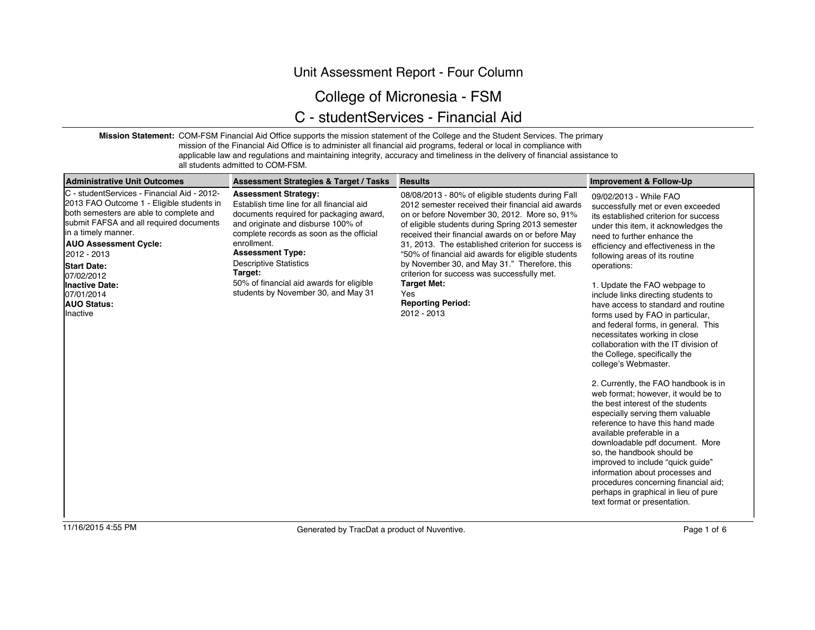### Unit Assessment Report - Four Column

## College of Micronesia - FSM

## C - studentServices - Financial Aid

**Mission Statement:** COM-FSM Financial Aid Office supports the mission statement of the College and the Student Services. The primary

mission of the Financial Aid Office is to administer all financial aid programs, federal or local in compliance with applicable law and regulations and maintaining integrity, accuracy and timeliness in the delivery of financial assistance to

all students admitted to COM-FSM.

| Administrative Unit Outcomes                                                                                                                                                                                                                                                                                                                                  | <b>Assessment Strategies &amp; Target / Tasks</b>                                                                                                                                                                                                                                                                                                                              | <b>Results</b>                                                                                                                                                                                                                                                                                                                                                                                                                                                                                                                                    | Improvement & Follow-Up                                                                                                                                                                                                                                                                                                                                                                                                                                                                                                                                                                                                                                                                                                                                                                                                                                                                                                                                                                                                                                                           |
|---------------------------------------------------------------------------------------------------------------------------------------------------------------------------------------------------------------------------------------------------------------------------------------------------------------------------------------------------------------|--------------------------------------------------------------------------------------------------------------------------------------------------------------------------------------------------------------------------------------------------------------------------------------------------------------------------------------------------------------------------------|---------------------------------------------------------------------------------------------------------------------------------------------------------------------------------------------------------------------------------------------------------------------------------------------------------------------------------------------------------------------------------------------------------------------------------------------------------------------------------------------------------------------------------------------------|-----------------------------------------------------------------------------------------------------------------------------------------------------------------------------------------------------------------------------------------------------------------------------------------------------------------------------------------------------------------------------------------------------------------------------------------------------------------------------------------------------------------------------------------------------------------------------------------------------------------------------------------------------------------------------------------------------------------------------------------------------------------------------------------------------------------------------------------------------------------------------------------------------------------------------------------------------------------------------------------------------------------------------------------------------------------------------------|
| C - studentServices - Financial Aid - 2012-<br>2013 FAO Outcome 1 - Eligible students in<br>both semesters are able to complete and<br>submit FAFSA and all required documents<br>lin a timely manner.<br><b>AUO Assessment Cycle:</b><br>12012 - 2013<br><b>Start Date:</b><br>07/02/2012<br>Inactive Date:<br>07/01/2014<br><b>AUO Status:</b><br>Ilnactive | <b>Assessment Strategy:</b><br>Establish time line for all financial aid<br>documents required for packaging award,<br>and originate and disburse 100% of<br>complete records as soon as the official<br>enrollment.<br><b>Assessment Type:</b><br><b>Descriptive Statistics</b><br>Target:<br>50% of financial aid awards for eligible<br>students by November 30, and May 31 | 08/08/2013 - 80% of eligible students during Fall<br>2012 semester received their financial aid awards<br>on or before November 30, 2012. More so, 91%<br>of eligible students during Spring 2013 semester<br>received their financial awards on or before May<br>31, 2013. The established criterion for success is<br>"50% of financial aid awards for eligible students<br>by November 30, and May 31." Therefore, this<br>criterion for success was successfully met.<br><b>Target Met:</b><br>Yes<br><b>Reporting Period:</b><br>2012 - 2013 | 09/02/2013 - While FAO<br>successfully met or even exceeded<br>its established criterion for success<br>under this item, it acknowledges the<br>need to further enhance the<br>efficiency and effectiveness in the<br>following areas of its routine<br>operations:<br>1. Update the FAO webpage to<br>include links directing students to<br>have access to standard and routine<br>forms used by FAO in particular,<br>and federal forms, in general. This<br>necessitates working in close<br>collaboration with the IT division of<br>the College, specifically the<br>college's Webmaster.<br>2. Currently, the FAO handbook is in<br>web format: however, it would be to<br>the best interest of the students<br>especially serving them valuable<br>reference to have this hand made<br>available preferable in a<br>downloadable pdf document. More<br>so, the handbook should be<br>improved to include "quick guide"<br>information about processes and<br>procedures concerning financial aid;<br>perhaps in graphical in lieu of pure<br>text format or presentation. |
|                                                                                                                                                                                                                                                                                                                                                               |                                                                                                                                                                                                                                                                                                                                                                                |                                                                                                                                                                                                                                                                                                                                                                                                                                                                                                                                                   |                                                                                                                                                                                                                                                                                                                                                                                                                                                                                                                                                                                                                                                                                                                                                                                                                                                                                                                                                                                                                                                                                   |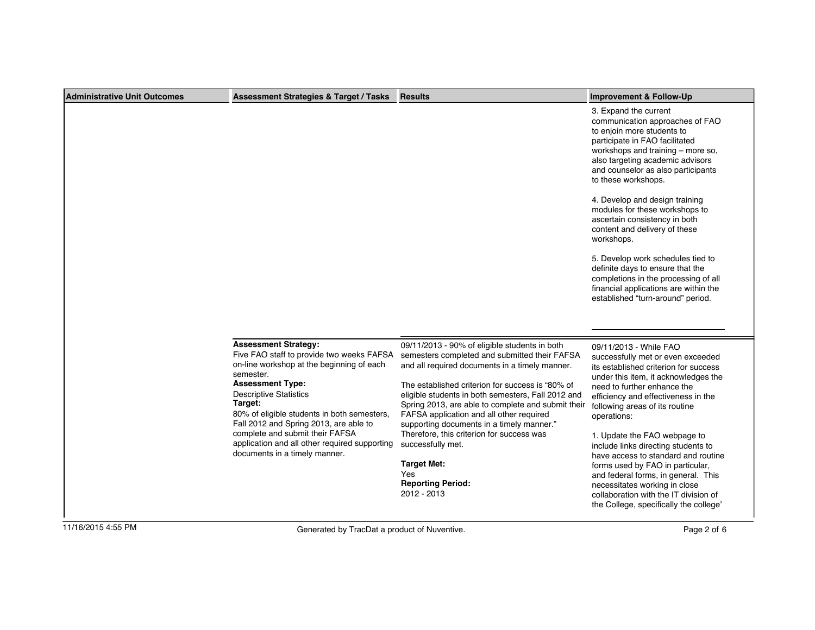| Administrative Unit Outcomes | <b>Assessment Strategies &amp; Target / Tasks</b>                                                                                                                                                                                                                                                                                                                                                                       | <b>Results</b>                                                                                                                                                                                                                                                                                                                                                                                                                                                                                                                                      | Improvement & Follow-Up                                                                                                                                                                                                                                                                                                                                                                                                                                                                                                                                                                                           |
|------------------------------|-------------------------------------------------------------------------------------------------------------------------------------------------------------------------------------------------------------------------------------------------------------------------------------------------------------------------------------------------------------------------------------------------------------------------|-----------------------------------------------------------------------------------------------------------------------------------------------------------------------------------------------------------------------------------------------------------------------------------------------------------------------------------------------------------------------------------------------------------------------------------------------------------------------------------------------------------------------------------------------------|-------------------------------------------------------------------------------------------------------------------------------------------------------------------------------------------------------------------------------------------------------------------------------------------------------------------------------------------------------------------------------------------------------------------------------------------------------------------------------------------------------------------------------------------------------------------------------------------------------------------|
|                              |                                                                                                                                                                                                                                                                                                                                                                                                                         |                                                                                                                                                                                                                                                                                                                                                                                                                                                                                                                                                     | 3. Expand the current<br>communication approaches of FAO<br>to enjoin more students to<br>participate in FAO facilitated<br>workshops and training – more so,<br>also targeting academic advisors<br>and counselor as also participants<br>to these workshops.<br>4. Develop and design training<br>modules for these workshops to<br>ascertain consistency in both<br>content and delivery of these<br>workshops.<br>5. Develop work schedules tied to<br>definite days to ensure that the<br>completions in the processing of all<br>financial applications are within the<br>established "turn-around" period. |
|                              | <b>Assessment Strategy:</b><br>Five FAO staff to provide two weeks FAFSA<br>on-line workshop at the beginning of each<br>semester.<br><b>Assessment Type:</b><br><b>Descriptive Statistics</b><br>Target:<br>80% of eligible students in both semesters,<br>Fall 2012 and Spring 2013, are able to<br>complete and submit their FAFSA<br>application and all other required supporting<br>documents in a timely manner. | 09/11/2013 - 90% of eligible students in both<br>semesters completed and submitted their FAFSA<br>and all required documents in a timely manner.<br>The established criterion for success is "80% of<br>eligible students in both semesters, Fall 2012 and<br>Spring 2013, are able to complete and submit their<br>FAFSA application and all other required<br>supporting documents in a timely manner."<br>Therefore, this criterion for success was<br>successfully met.<br><b>Target Met:</b><br>Yes<br><b>Reporting Period:</b><br>2012 - 2013 | 09/11/2013 - While FAO<br>successfully met or even exceeded<br>its established criterion for success<br>under this item, it acknowledges the<br>need to further enhance the<br>efficiency and effectiveness in the<br>following areas of its routine<br>operations:<br>1. Update the FAO webpage to<br>include links directing students to<br>have access to standard and routine<br>forms used by FAO in particular,<br>and federal forms, in general. This<br>necessitates working in close<br>collaboration with the IT division of<br>the College, specifically the college'                                  |
| 11/16/2015 4:55 PM           | Generated by TracDat a product of Nuventive.                                                                                                                                                                                                                                                                                                                                                                            |                                                                                                                                                                                                                                                                                                                                                                                                                                                                                                                                                     | Page 2 of 6                                                                                                                                                                                                                                                                                                                                                                                                                                                                                                                                                                                                       |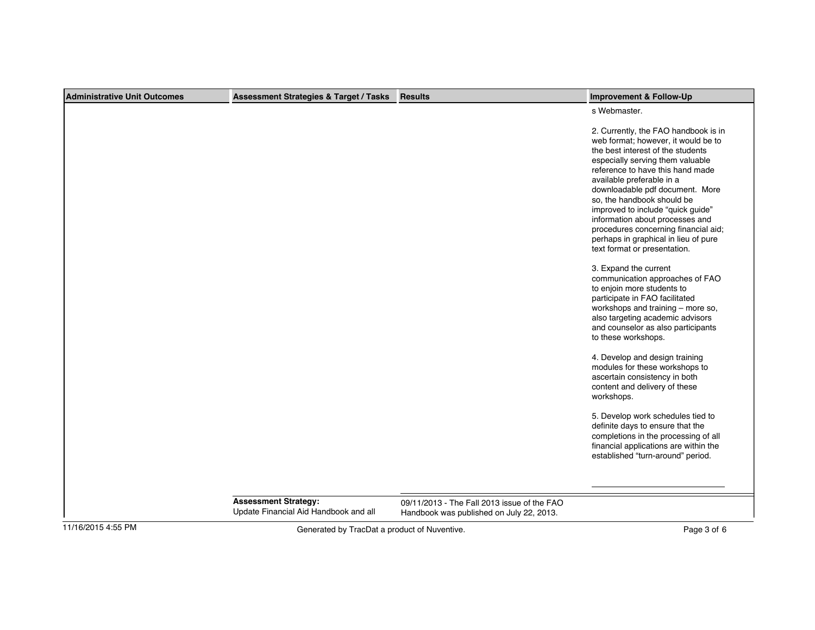| Administrative Unit Outcomes | <b>Assessment Strategies &amp; Target / Tasks</b>                    | <b>Results</b>                                                                          | <b>Improvement &amp; Follow-Up</b>                                                                                                                                                                                                                                                                                                                                                                                                                                             |
|------------------------------|----------------------------------------------------------------------|-----------------------------------------------------------------------------------------|--------------------------------------------------------------------------------------------------------------------------------------------------------------------------------------------------------------------------------------------------------------------------------------------------------------------------------------------------------------------------------------------------------------------------------------------------------------------------------|
|                              |                                                                      |                                                                                         | s Webmaster.                                                                                                                                                                                                                                                                                                                                                                                                                                                                   |
|                              |                                                                      |                                                                                         | 2. Currently, the FAO handbook is in<br>web format; however, it would be to<br>the best interest of the students<br>especially serving them valuable<br>reference to have this hand made<br>available preferable in a<br>downloadable pdf document. More<br>so, the handbook should be<br>improved to include "quick guide"<br>information about processes and<br>procedures concerning financial aid;<br>perhaps in graphical in lieu of pure<br>text format or presentation. |
|                              |                                                                      |                                                                                         | 3. Expand the current<br>communication approaches of FAO<br>to enjoin more students to<br>participate in FAO facilitated<br>workshops and training - more so,<br>also targeting academic advisors<br>and counselor as also participants<br>to these workshops.                                                                                                                                                                                                                 |
|                              |                                                                      |                                                                                         | 4. Develop and design training<br>modules for these workshops to<br>ascertain consistency in both<br>content and delivery of these<br>workshops.                                                                                                                                                                                                                                                                                                                               |
|                              |                                                                      |                                                                                         | 5. Develop work schedules tied to<br>definite days to ensure that the<br>completions in the processing of all<br>financial applications are within the<br>established "turn-around" period.                                                                                                                                                                                                                                                                                    |
|                              | <b>Assessment Strategy:</b><br>Update Financial Aid Handbook and all | 09/11/2013 - The Fall 2013 issue of the FAO<br>Handbook was published on July 22, 2013. |                                                                                                                                                                                                                                                                                                                                                                                                                                                                                |
| 11/16/2015 4:55 PM           | Generated by TracDat a product of Nuventive.                         |                                                                                         | Page 3 of 6                                                                                                                                                                                                                                                                                                                                                                                                                                                                    |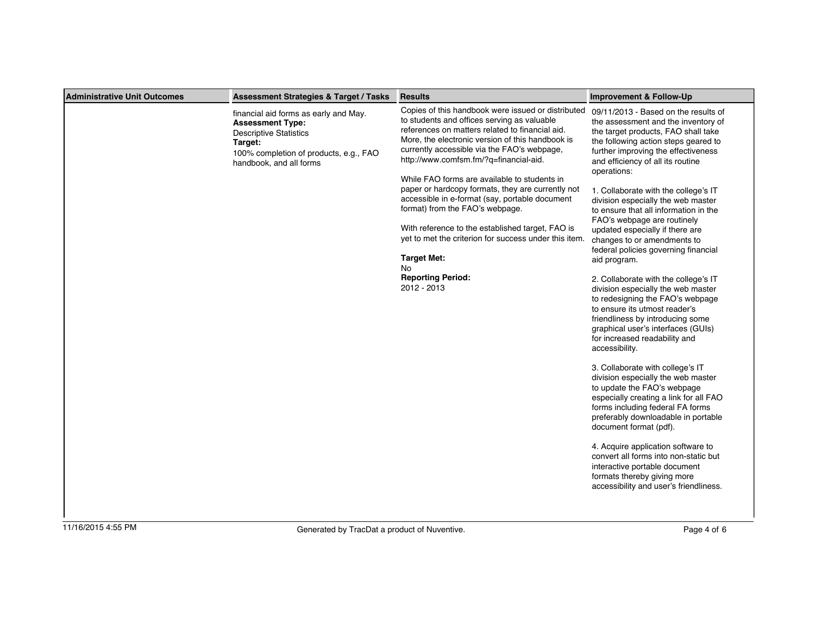| Administrative Unit Outcomes | <b>Assessment Strategies &amp; Target / Tasks</b>                                                                                                                                 | <b>Results</b>                                                                                                                                                                                                                                                                                                                                    | <b>Improvement &amp; Follow-Up</b>                                                                                                                                                                                                                                           |
|------------------------------|-----------------------------------------------------------------------------------------------------------------------------------------------------------------------------------|---------------------------------------------------------------------------------------------------------------------------------------------------------------------------------------------------------------------------------------------------------------------------------------------------------------------------------------------------|------------------------------------------------------------------------------------------------------------------------------------------------------------------------------------------------------------------------------------------------------------------------------|
|                              | financial aid forms as early and May.<br><b>Assessment Type:</b><br><b>Descriptive Statistics</b><br>Target:<br>100% completion of products, e.g., FAO<br>handbook, and all forms | Copies of this handbook were issued or distributed<br>to students and offices serving as valuable<br>references on matters related to financial aid.<br>More, the electronic version of this handbook is<br>currently accessible via the FAO's webpage,<br>http://www.comfsm.fm/?q=financial-aid.<br>While FAO forms are available to students in | 09/11/2013 - Based on the results of<br>the assessment and the inventory of<br>the target products, FAO shall take<br>the following action steps geared to<br>further improving the effectiveness<br>and efficiency of all its routine<br>operations:                        |
|                              |                                                                                                                                                                                   | paper or hardcopy formats, they are currently not<br>accessible in e-format (say, portable document<br>format) from the FAO's webpage.<br>With reference to the established target, FAO is<br>yet to met the criterion for success under this item.<br><b>Target Met:</b>                                                                         | 1. Collaborate with the college's IT<br>division especially the web master<br>to ensure that all information in the<br>FAO's webpage are routinely<br>updated especially if there are<br>changes to or amendments to<br>federal policies governing financial<br>aid program. |
|                              |                                                                                                                                                                                   | No<br><b>Reporting Period:</b><br>2012 - 2013                                                                                                                                                                                                                                                                                                     | 2. Collaborate with the college's IT<br>division especially the web master<br>to redesigning the FAO's webpage<br>to ensure its utmost reader's<br>friendliness by introducing some<br>graphical user's interfaces (GUIs)<br>for increased readability and<br>accessibility. |
|                              |                                                                                                                                                                                   |                                                                                                                                                                                                                                                                                                                                                   | 3. Collaborate with college's IT<br>division especially the web master<br>to update the FAO's webpage<br>especially creating a link for all FAO<br>forms including federal FA forms<br>preferably downloadable in portable<br>document format (pdf).                         |
|                              |                                                                                                                                                                                   |                                                                                                                                                                                                                                                                                                                                                   | 4. Acquire application software to<br>convert all forms into non-static but<br>interactive portable document<br>formats thereby giving more<br>accessibility and user's friendliness.                                                                                        |
| 11/16/2015 4:55 PM           | Generated by TracDat a product of Nuventive.                                                                                                                                      |                                                                                                                                                                                                                                                                                                                                                   | Page 4 of 6                                                                                                                                                                                                                                                                  |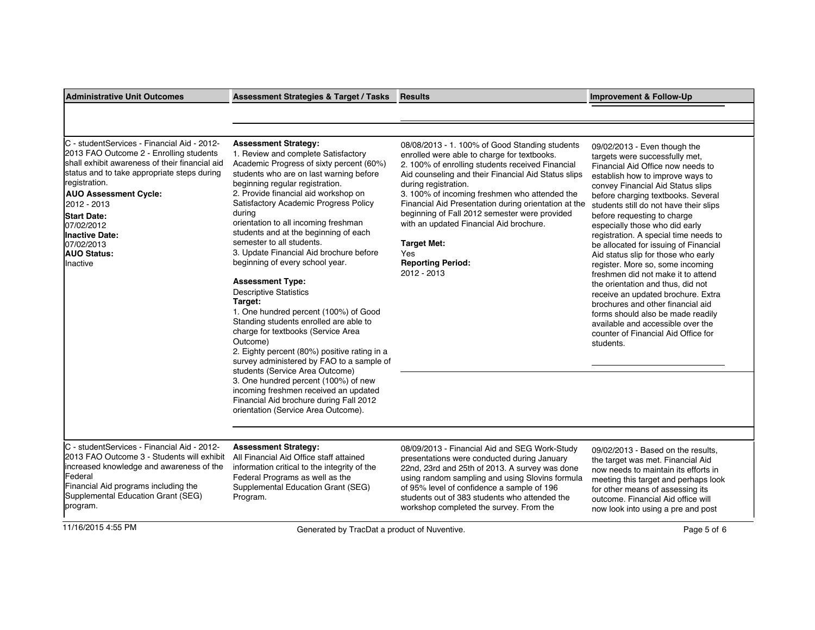| <b>Administrative Unit Outcomes</b>                                                                                                                                                                                                                                                                                                                             | Assessment Strategies & Target / Tasks                                                                                                                                                                                                                                                                                                                                                                                                                                                                                                                                                                                                                                                                                                                                                                                                                                                                                                                                                             | <b>Results</b>                                                                                                                                                                                                                                                                                                                                                                                                                                                                                                | Improvement & Follow-Up                                                                                                                                                                                                                                                                                                                                                                                                                                                                                                                                                                                                                                                                                                                                                        |
|-----------------------------------------------------------------------------------------------------------------------------------------------------------------------------------------------------------------------------------------------------------------------------------------------------------------------------------------------------------------|----------------------------------------------------------------------------------------------------------------------------------------------------------------------------------------------------------------------------------------------------------------------------------------------------------------------------------------------------------------------------------------------------------------------------------------------------------------------------------------------------------------------------------------------------------------------------------------------------------------------------------------------------------------------------------------------------------------------------------------------------------------------------------------------------------------------------------------------------------------------------------------------------------------------------------------------------------------------------------------------------|---------------------------------------------------------------------------------------------------------------------------------------------------------------------------------------------------------------------------------------------------------------------------------------------------------------------------------------------------------------------------------------------------------------------------------------------------------------------------------------------------------------|--------------------------------------------------------------------------------------------------------------------------------------------------------------------------------------------------------------------------------------------------------------------------------------------------------------------------------------------------------------------------------------------------------------------------------------------------------------------------------------------------------------------------------------------------------------------------------------------------------------------------------------------------------------------------------------------------------------------------------------------------------------------------------|
|                                                                                                                                                                                                                                                                                                                                                                 |                                                                                                                                                                                                                                                                                                                                                                                                                                                                                                                                                                                                                                                                                                                                                                                                                                                                                                                                                                                                    |                                                                                                                                                                                                                                                                                                                                                                                                                                                                                                               |                                                                                                                                                                                                                                                                                                                                                                                                                                                                                                                                                                                                                                                                                                                                                                                |
|                                                                                                                                                                                                                                                                                                                                                                 |                                                                                                                                                                                                                                                                                                                                                                                                                                                                                                                                                                                                                                                                                                                                                                                                                                                                                                                                                                                                    |                                                                                                                                                                                                                                                                                                                                                                                                                                                                                                               |                                                                                                                                                                                                                                                                                                                                                                                                                                                                                                                                                                                                                                                                                                                                                                                |
| C - studentServices - Financial Aid - 2012-<br>2013 FAO Outcome 2 - Enrolling students<br>shall exhibit awareness of their financial aid<br>status and to take appropriate steps during<br>registration.<br><b>AUO Assessment Cycle:</b><br>2012 - 2013<br><b>Start Date:</b><br>07/02/2012<br>llnactive Date:<br>07/02/2013<br><b>AUO Status:</b><br>Ilnactive | <b>Assessment Strategy:</b><br>1. Review and complete Satisfactory<br>Academic Progress of sixty percent (60%)<br>students who are on last warning before<br>beginning regular registration.<br>2. Provide financial aid workshop on<br>Satisfactory Academic Progress Policy<br>during<br>orientation to all incoming freshman<br>students and at the beginning of each<br>semester to all students.<br>3. Update Financial Aid brochure before<br>beginning of every school year.<br><b>Assessment Type:</b><br><b>Descriptive Statistics</b><br>Target:<br>1. One hundred percent (100%) of Good<br>Standing students enrolled are able to<br>charge for textbooks (Service Area<br>Outcome)<br>2. Eighty percent (80%) positive rating in a<br>survey administered by FAO to a sample of<br>students (Service Area Outcome)<br>3. One hundred percent (100%) of new<br>incoming freshmen received an updated<br>Financial Aid brochure during Fall 2012<br>orientation (Service Area Outcome). | 08/08/2013 - 1. 100% of Good Standing students<br>enrolled were able to charge for textbooks.<br>2. 100% of enrolling students received Financial<br>Aid counseling and their Financial Aid Status slips<br>during registration.<br>3. 100% of incoming freshmen who attended the<br>Financial Aid Presentation during orientation at the<br>beginning of Fall 2012 semester were provided<br>with an updated Financial Aid brochure.<br><b>Target Met:</b><br>Yes<br><b>Reporting Period:</b><br>2012 - 2013 | 09/02/2013 - Even though the<br>targets were successfully met,<br>Financial Aid Office now needs to<br>establish how to improve ways to<br>convey Financial Aid Status slips<br>before charging textbooks. Several<br>students still do not have their slips<br>before requesting to charge<br>especially those who did early<br>registration. A special time needs to<br>be allocated for issuing of Financial<br>Aid status slip for those who early<br>register. More so, some incoming<br>freshmen did not make it to attend<br>the orientation and thus, did not<br>receive an updated brochure. Extra<br>brochures and other financial aid<br>forms should also be made readily<br>available and accessible over the<br>counter of Financial Aid Office for<br>students. |
|                                                                                                                                                                                                                                                                                                                                                                 |                                                                                                                                                                                                                                                                                                                                                                                                                                                                                                                                                                                                                                                                                                                                                                                                                                                                                                                                                                                                    |                                                                                                                                                                                                                                                                                                                                                                                                                                                                                                               |                                                                                                                                                                                                                                                                                                                                                                                                                                                                                                                                                                                                                                                                                                                                                                                |
| IC - studentServices - Financial Aid - 2012-<br>l2013 FAO Outcome 3 - Students will exhibit<br>increased knowledge and awareness of the<br>Federal<br>Financial Aid programs including the<br>Supplemental Education Grant (SEG)<br>program.                                                                                                                    | <b>Assessment Strategy:</b><br>All Financial Aid Office staff attained<br>information critical to the integrity of the<br>Federal Programs as well as the<br>Supplemental Education Grant (SEG)<br>Program.                                                                                                                                                                                                                                                                                                                                                                                                                                                                                                                                                                                                                                                                                                                                                                                        | 08/09/2013 - Financial Aid and SEG Work-Study<br>presentations were conducted during January<br>22nd, 23rd and 25th of 2013. A survey was done<br>using random sampling and using Slovins formula<br>of 95% level of confidence a sample of 196<br>students out of 383 students who attended the<br>workshop completed the survey. From the                                                                                                                                                                   | 09/02/2013 - Based on the results,<br>the target was met. Financial Aid<br>now needs to maintain its efforts in<br>meeting this target and perhaps look<br>for other means of assessing its<br>outcome. Financial Aid office will<br>now look into using a pre and post                                                                                                                                                                                                                                                                                                                                                                                                                                                                                                        |
| 11/16/2015 4:55 PM                                                                                                                                                                                                                                                                                                                                              | Generated by TracDat a product of Nuventive.                                                                                                                                                                                                                                                                                                                                                                                                                                                                                                                                                                                                                                                                                                                                                                                                                                                                                                                                                       |                                                                                                                                                                                                                                                                                                                                                                                                                                                                                                               | Page 5 of 6                                                                                                                                                                                                                                                                                                                                                                                                                                                                                                                                                                                                                                                                                                                                                                    |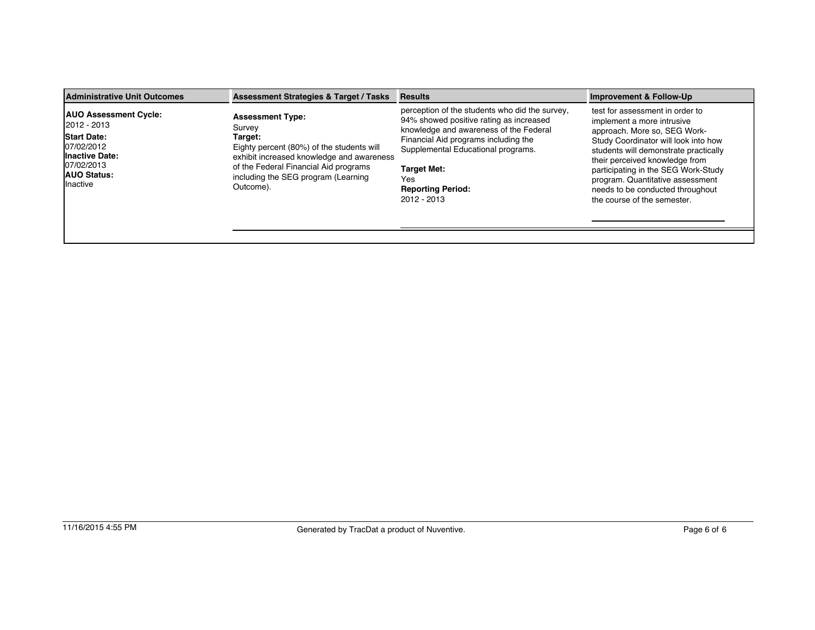| Administrative Unit Outcomes                                                                                                                       | <b>Assessment Strategies &amp; Target / Tasks</b>                                                                                                                                                                                   | <b>Results</b>                                                                                                                                                                                                                                                                            | <b>Improvement &amp; Follow-Up</b>                                                                                                                                                                                                                                                                                                                             |
|----------------------------------------------------------------------------------------------------------------------------------------------------|-------------------------------------------------------------------------------------------------------------------------------------------------------------------------------------------------------------------------------------|-------------------------------------------------------------------------------------------------------------------------------------------------------------------------------------------------------------------------------------------------------------------------------------------|----------------------------------------------------------------------------------------------------------------------------------------------------------------------------------------------------------------------------------------------------------------------------------------------------------------------------------------------------------------|
| <b>AUO Assessment Cycle:</b><br>12012 - 2013<br><b>Start Date:</b><br>07/02/2012<br>Inactive Date:<br>07/02/2013<br><b>AUO Status:</b><br>Inactive | <b>Assessment Type:</b><br>Survey<br>Target:<br>Eighty percent (80%) of the students will<br>exhibit increased knowledge and awareness<br>of the Federal Financial Aid programs<br>including the SEG program (Learning<br>Outcome). | perception of the students who did the survey,<br>94% showed positive rating as increased<br>knowledge and awareness of the Federal<br>Financial Aid programs including the<br>Supplemental Educational programs.<br><b>Target Met:</b><br>Yes<br><b>Reporting Period:</b><br>2012 - 2013 | test for assessment in order to<br>implement a more intrusive<br>approach. More so, SEG Work-<br>Study Coordinator will look into how<br>students will demonstrate practically<br>their perceived knowledge from<br>participating in the SEG Work-Study<br>program. Quantitative assessment<br>needs to be conducted throughout<br>the course of the semester. |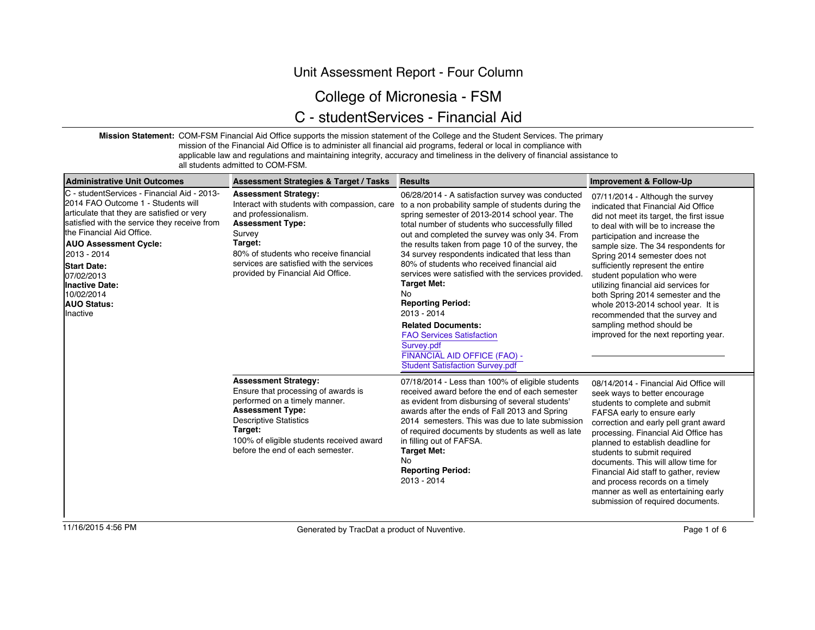### Unit Assessment Report - Four Column

## College of Micronesia - FSM

## C - studentServices - Financial Aid

**Mission Statement:** COM-FSM Financial Aid Office supports the mission statement of the College and the Student Services. The primary mission of the Financial Aid Office is to administer all financial aid programs, federal or local in compliance with

applicable law and regulations and maintaining integrity, accuracy and timeliness in the delivery of financial assistance to all students admitted to COM-FSM.

| Administrative Unit Outcomes                                                                                                                                                                                                                                                                                                                                                | <b>Assessment Strategies &amp; Target / Tasks</b>                                                                                                                                                                                                                             | <b>Results</b>                                                                                                                                                                                                                                                                                                                                                                                                                                                                                                                                                                                                                                                                                                   | <b>Improvement &amp; Follow-Up</b>                                                                                                                                                                                                                                                                                                                                                                                                                                                                                                                                    |
|-----------------------------------------------------------------------------------------------------------------------------------------------------------------------------------------------------------------------------------------------------------------------------------------------------------------------------------------------------------------------------|-------------------------------------------------------------------------------------------------------------------------------------------------------------------------------------------------------------------------------------------------------------------------------|------------------------------------------------------------------------------------------------------------------------------------------------------------------------------------------------------------------------------------------------------------------------------------------------------------------------------------------------------------------------------------------------------------------------------------------------------------------------------------------------------------------------------------------------------------------------------------------------------------------------------------------------------------------------------------------------------------------|-----------------------------------------------------------------------------------------------------------------------------------------------------------------------------------------------------------------------------------------------------------------------------------------------------------------------------------------------------------------------------------------------------------------------------------------------------------------------------------------------------------------------------------------------------------------------|
| IC - studentServices - Financial Aid - 2013-<br>2014 FAO Outcome 1 - Students will<br>articulate that they are satisfied or very<br>satisfied with the service they receive from<br>the Financial Aid Office.<br><b>AUO Assessment Cycle:</b><br>12013 - 2014<br><b>Start Date:</b><br>07/02/2013<br><b>Inactive Date:</b><br>10/02/2014<br><b>AUO Status:</b><br>lInactive | <b>Assessment Strategy:</b><br>Interact with students with compassion, care<br>and professionalism.<br><b>Assessment Type:</b><br>Survey<br>Target:<br>80% of students who receive financial<br>services are satisfied with the services<br>provided by Financial Aid Office. | 06/28/2014 - A satisfaction survey was conducted<br>to a non probability sample of students during the<br>spring semester of 2013-2014 school year. The<br>total number of students who successfully filled<br>out and completed the survey was only 34. From<br>the results taken from page 10 of the survey, the<br>34 survey respondents indicated that less than<br>80% of students who received financial aid<br>services were satisfied with the services provided.<br><b>Target Met:</b><br><b>No</b><br><b>Reporting Period:</b><br>2013 - 2014<br><b>Related Documents:</b><br><b>FAO Services Satisfaction</b><br>Survey.pdf<br>FINANCIAL AID OFFICE (FAO) -<br><b>Student Satisfaction Survey.pdf</b> | 07/11/2014 - Although the survey<br>indicated that Financial Aid Office<br>did not meet its target, the first issue<br>to deal with will be to increase the<br>participation and increase the<br>sample size. The 34 respondents for<br>Spring 2014 semester does not<br>sufficiently represent the entire<br>student population who were<br>utilizing financial aid services for<br>both Spring 2014 semester and the<br>whole 2013-2014 school year. It is<br>recommended that the survey and<br>sampling method should be<br>improved for the next reporting year. |
|                                                                                                                                                                                                                                                                                                                                                                             | <b>Assessment Strategy:</b><br>Ensure that processing of awards is<br>performed on a timely manner.<br><b>Assessment Type:</b><br><b>Descriptive Statistics</b><br>Target:<br>100% of eligible students received award<br>before the end of each semester.                    | 07/18/2014 - Less than 100% of eligible students<br>received award before the end of each semester<br>as evident from disbursing of several students'<br>awards after the ends of Fall 2013 and Spring<br>2014 semesters. This was due to late submission<br>of required documents by students as well as late<br>in filling out of FAFSA.<br><b>Target Met:</b><br>No<br><b>Reporting Period:</b><br>2013 - 2014                                                                                                                                                                                                                                                                                                | 08/14/2014 - Financial Aid Office will<br>seek ways to better encourage<br>students to complete and submit<br>FAFSA early to ensure early<br>correction and early pell grant award<br>processing. Financial Aid Office has<br>planned to establish deadline for<br>students to submit required<br>documents. This will allow time for<br>Financial Aid staff to gather, review<br>and process records on a timely<br>manner as well as entertaining early<br>submission of required documents.                                                                        |
| 11/16/2015 4:56 PM                                                                                                                                                                                                                                                                                                                                                          | Generated by TracDat a product of Nuventive.                                                                                                                                                                                                                                  |                                                                                                                                                                                                                                                                                                                                                                                                                                                                                                                                                                                                                                                                                                                  | Page 1 of 6                                                                                                                                                                                                                                                                                                                                                                                                                                                                                                                                                           |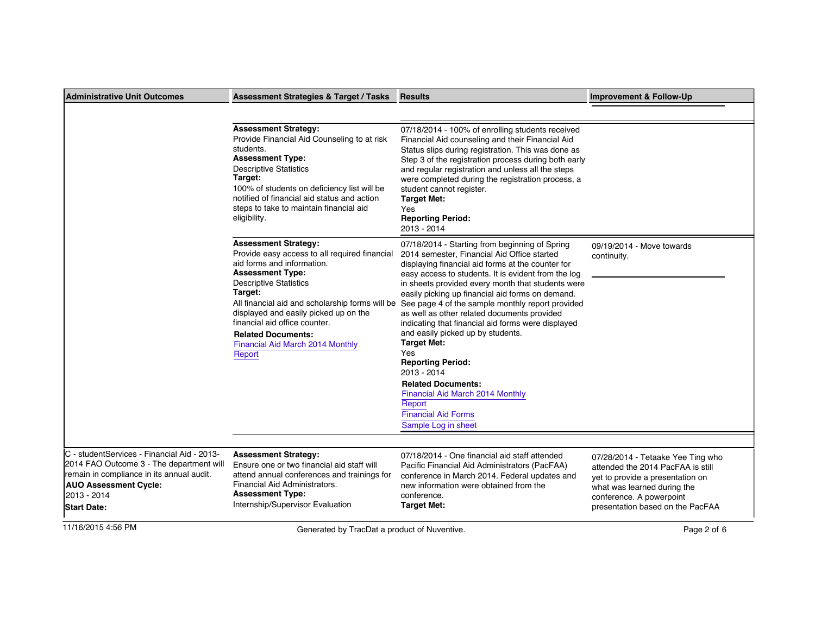| <b>Administrative Unit Outcomes</b>                                                                                                                                                                       | <b>Assessment Strategies &amp; Target / Tasks</b>                                                                                                                                                                                                                                                                                                                                         | <b>Results</b>                                                                                                                                                                                                                                                                                                                                                                                                                                                                                                                                                                                                                                                                                                           | Improvement & Follow-Up                                                                                                                                                                                   |
|-----------------------------------------------------------------------------------------------------------------------------------------------------------------------------------------------------------|-------------------------------------------------------------------------------------------------------------------------------------------------------------------------------------------------------------------------------------------------------------------------------------------------------------------------------------------------------------------------------------------|--------------------------------------------------------------------------------------------------------------------------------------------------------------------------------------------------------------------------------------------------------------------------------------------------------------------------------------------------------------------------------------------------------------------------------------------------------------------------------------------------------------------------------------------------------------------------------------------------------------------------------------------------------------------------------------------------------------------------|-----------------------------------------------------------------------------------------------------------------------------------------------------------------------------------------------------------|
|                                                                                                                                                                                                           |                                                                                                                                                                                                                                                                                                                                                                                           |                                                                                                                                                                                                                                                                                                                                                                                                                                                                                                                                                                                                                                                                                                                          |                                                                                                                                                                                                           |
|                                                                                                                                                                                                           | <b>Assessment Strategy:</b><br>Provide Financial Aid Counseling to at risk<br>students.<br><b>Assessment Type:</b><br><b>Descriptive Statistics</b><br>Target:<br>100% of students on deficiency list will be<br>notified of financial aid status and action<br>steps to take to maintain financial aid<br>eligibility.                                                                   | 07/18/2014 - 100% of enrolling students received<br>Financial Aid counseling and their Financial Aid<br>Status slips during registration. This was done as<br>Step 3 of the registration process during both early<br>and regular registration and unless all the steps<br>were completed during the registration process, a<br>student cannot register.<br><b>Target Met:</b><br>Yes<br><b>Reporting Period:</b><br>2013 - 2014                                                                                                                                                                                                                                                                                         |                                                                                                                                                                                                           |
|                                                                                                                                                                                                           | <b>Assessment Strategy:</b><br>Provide easy access to all required financial<br>aid forms and information.<br><b>Assessment Type:</b><br><b>Descriptive Statistics</b><br>Target:<br>All financial aid and scholarship forms will be<br>displayed and easily picked up on the<br>financial aid office counter.<br><b>Related Documents:</b><br>Financial Aid March 2014 Monthly<br>Report | 07/18/2014 - Starting from beginning of Spring<br>2014 semester, Financial Aid Office started<br>displaying financial aid forms at the counter for<br>easy access to students. It is evident from the log<br>in sheets provided every month that students were<br>easily picking up financial aid forms on demand.<br>See page 4 of the sample monthly report provided<br>as well as other related documents provided<br>indicating that financial aid forms were displayed<br>and easily picked up by students.<br><b>Target Met:</b><br>Yes<br><b>Reporting Period:</b><br>2013 - 2014<br><b>Related Documents:</b><br>Financial Aid March 2014 Monthly<br>Report<br><b>Financial Aid Forms</b><br>Sample Log in sheet | 09/19/2014 - Move towards<br>continuity.                                                                                                                                                                  |
|                                                                                                                                                                                                           |                                                                                                                                                                                                                                                                                                                                                                                           |                                                                                                                                                                                                                                                                                                                                                                                                                                                                                                                                                                                                                                                                                                                          |                                                                                                                                                                                                           |
| C - studentServices - Financial Aid - 2013-<br>2014 FAO Outcome 3 - The department will<br>remain in compliance in its annual audit.<br><b>AUO Assessment Cycle:</b><br>2013 - 2014<br><b>Start Date:</b> | <b>Assessment Strategy:</b><br>Ensure one or two financial aid staff will<br>attend annual conferences and trainings for<br>Financial Aid Administrators.<br><b>Assessment Type:</b><br>Internship/Supervisor Evaluation                                                                                                                                                                  | 07/18/2014 - One financial aid staff attended<br>Pacific Financial Aid Administrators (PacFAA)<br>conference in March 2014. Federal updates and<br>new information were obtained from the<br>conference.<br><b>Target Met:</b>                                                                                                                                                                                                                                                                                                                                                                                                                                                                                           | 07/28/2014 - Tetaake Yee Ting who<br>attended the 2014 PacFAA is still<br>yet to provide a presentation on<br>what was learned during the<br>conference. A powerpoint<br>presentation based on the PacFAA |
| 11/16/2015 4:56 PM                                                                                                                                                                                        | Generated by TracDat a product of Nuventive.                                                                                                                                                                                                                                                                                                                                              |                                                                                                                                                                                                                                                                                                                                                                                                                                                                                                                                                                                                                                                                                                                          | Page 2 of 6                                                                                                                                                                                               |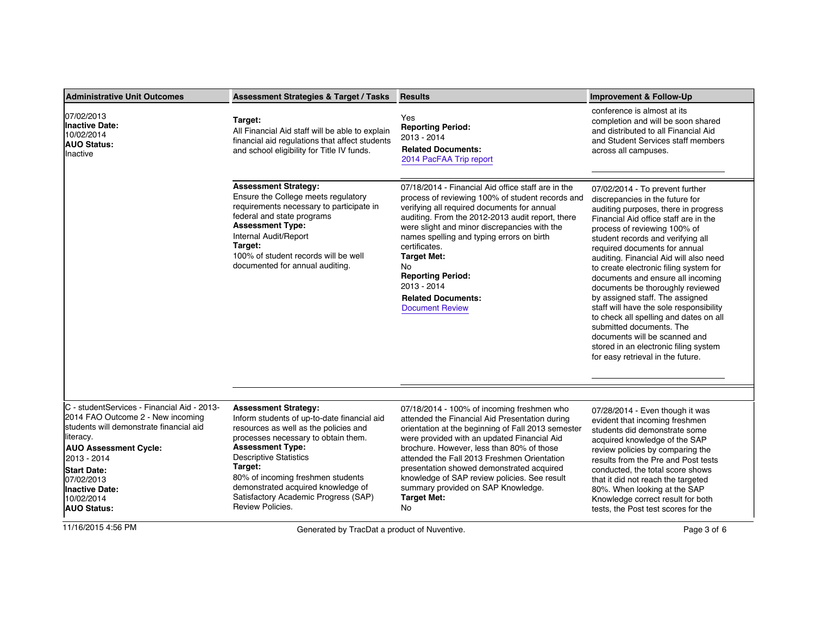| Administrative Unit Outcomes                                                                                                                                                                                                                                                        | <b>Assessment Strategies &amp; Target / Tasks</b>                                                                                                                                                                                                                                                                                                                        | <b>Results</b>                                                                                                                                                                                                                                                                                                                                                                                                                                                | <b>Improvement &amp; Follow-Up</b>                                                                                                                                                                                                                                                                                                                                                                                                                                                                                                                                                                                                                                                        |
|-------------------------------------------------------------------------------------------------------------------------------------------------------------------------------------------------------------------------------------------------------------------------------------|--------------------------------------------------------------------------------------------------------------------------------------------------------------------------------------------------------------------------------------------------------------------------------------------------------------------------------------------------------------------------|---------------------------------------------------------------------------------------------------------------------------------------------------------------------------------------------------------------------------------------------------------------------------------------------------------------------------------------------------------------------------------------------------------------------------------------------------------------|-------------------------------------------------------------------------------------------------------------------------------------------------------------------------------------------------------------------------------------------------------------------------------------------------------------------------------------------------------------------------------------------------------------------------------------------------------------------------------------------------------------------------------------------------------------------------------------------------------------------------------------------------------------------------------------------|
| 07/02/2013<br><b>Inactive Date:</b><br>10/02/2014<br><b>AUO Status:</b><br>Inactive                                                                                                                                                                                                 | Target:<br>All Financial Aid staff will be able to explain<br>financial aid regulations that affect students<br>and school eligibility for Title IV funds.                                                                                                                                                                                                               | Yes<br><b>Reporting Period:</b><br>2013 - 2014<br><b>Related Documents:</b><br>2014 PacFAA Trip report                                                                                                                                                                                                                                                                                                                                                        | conference is almost at its<br>completion and will be soon shared<br>and distributed to all Financial Aid<br>and Student Services staff members<br>across all campuses.                                                                                                                                                                                                                                                                                                                                                                                                                                                                                                                   |
|                                                                                                                                                                                                                                                                                     | <b>Assessment Strategy:</b><br>Ensure the College meets regulatory<br>requirements necessary to participate in<br>federal and state programs<br><b>Assessment Type:</b><br>Internal Audit/Report<br>Target:<br>100% of student records will be well<br>documented for annual auditing.                                                                                   | 07/18/2014 - Financial Aid office staff are in the<br>process of reviewing 100% of student records and<br>verifying all required documents for annual<br>auditing. From the 2012-2013 audit report, there<br>were slight and minor discrepancies with the<br>names spelling and typing errors on birth<br>certificates.<br><b>Target Met:</b><br>No<br><b>Reporting Period:</b><br>2013 - 2014<br><b>Related Documents:</b><br><b>Document Review</b>         | 07/02/2014 - To prevent further<br>discrepancies in the future for<br>auditing purposes, there in progress<br>Financial Aid office staff are in the<br>process of reviewing 100% of<br>student records and verifying all<br>required documents for annual<br>auditing. Financial Aid will also need<br>to create electronic filing system for<br>documents and ensure all incoming<br>documents be thoroughly reviewed<br>by assigned staff. The assigned<br>staff will have the sole responsibility<br>to check all spelling and dates on all<br>submitted documents. The<br>documents will be scanned and<br>stored in an electronic filing system<br>for easy retrieval in the future. |
| IC - studentServices - Financial Aid - 2013-<br>2014 FAO Outcome 2 - New incoming<br>students will demonstrate financial aid<br>lliteracy.<br><b>AUO Assessment Cycle:</b><br>2013 - 2014<br><b>Start Date:</b><br>07/02/2013<br>Inactive Date:<br>10/02/2014<br><b>AUO Status:</b> | <b>Assessment Strategy:</b><br>Inform students of up-to-date financial aid<br>resources as well as the policies and<br>processes necessary to obtain them.<br><b>Assessment Type:</b><br><b>Descriptive Statistics</b><br>Target:<br>80% of incoming freshmen students<br>demonstrated acquired knowledge of<br>Satisfactory Academic Progress (SAP)<br>Review Policies. | 07/18/2014 - 100% of incoming freshmen who<br>attended the Financial Aid Presentation during<br>orientation at the beginning of Fall 2013 semester<br>were provided with an updated Financial Aid<br>brochure. However, less than 80% of those<br>attended the Fall 2013 Freshmen Orientation<br>presentation showed demonstrated acquired<br>knowledge of SAP review policies. See result<br>summary provided on SAP Knowledge.<br><b>Target Met:</b><br>No. | 07/28/2014 - Even though it was<br>evident that incoming freshmen<br>students did demonstrate some<br>acquired knowledge of the SAP<br>review policies by comparing the<br>results from the Pre and Post tests<br>conducted, the total score shows<br>that it did not reach the targeted<br>80%. When looking at the SAP<br>Knowledge correct result for both<br>tests, the Post test scores for the                                                                                                                                                                                                                                                                                      |
| 11/16/2015 4:56 PM                                                                                                                                                                                                                                                                  | Generated by TracDat a product of Nuventive.                                                                                                                                                                                                                                                                                                                             |                                                                                                                                                                                                                                                                                                                                                                                                                                                               | Page 3 of 6                                                                                                                                                                                                                                                                                                                                                                                                                                                                                                                                                                                                                                                                               |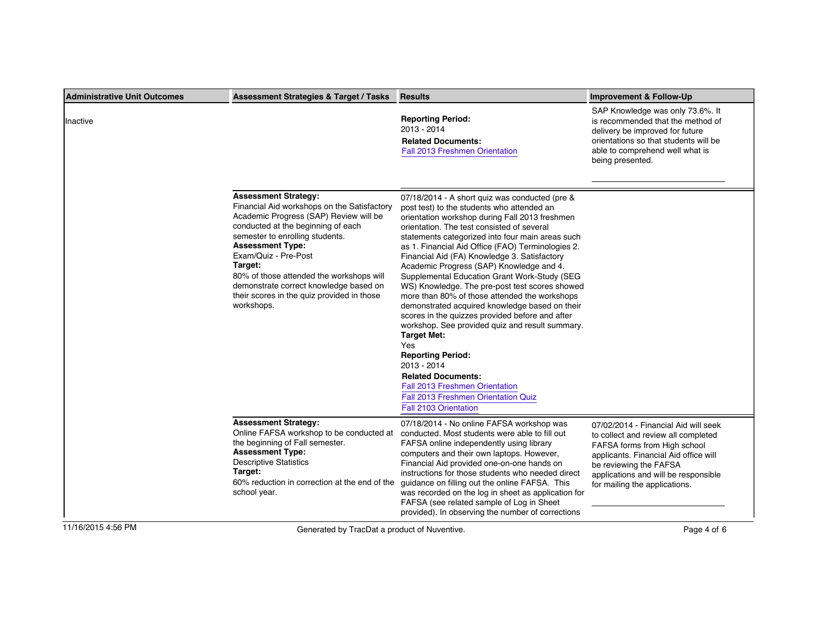| <b>Administrative Unit Outcomes</b> | <b>Assessment Strategies &amp; Target / Tasks</b>                                                                                                                                                                                                                                                                                                                                                             | <b>Results</b>                                                                                                                                                                                                                                                                                                                                                                                                                                                                                                                                                                                                                                                                                                                                                                                                                                                                                                             | Improvement & Follow-Up                                                                                                                                                                                                                                 |
|-------------------------------------|---------------------------------------------------------------------------------------------------------------------------------------------------------------------------------------------------------------------------------------------------------------------------------------------------------------------------------------------------------------------------------------------------------------|----------------------------------------------------------------------------------------------------------------------------------------------------------------------------------------------------------------------------------------------------------------------------------------------------------------------------------------------------------------------------------------------------------------------------------------------------------------------------------------------------------------------------------------------------------------------------------------------------------------------------------------------------------------------------------------------------------------------------------------------------------------------------------------------------------------------------------------------------------------------------------------------------------------------------|---------------------------------------------------------------------------------------------------------------------------------------------------------------------------------------------------------------------------------------------------------|
| Inactive                            |                                                                                                                                                                                                                                                                                                                                                                                                               | <b>Reporting Period:</b><br>2013 - 2014<br><b>Related Documents:</b><br>Fall 2013 Freshmen Orientation                                                                                                                                                                                                                                                                                                                                                                                                                                                                                                                                                                                                                                                                                                                                                                                                                     | SAP Knowledge was only 73.6%. It<br>is recommended that the method of<br>delivery be improved for future<br>orientations so that students will be<br>able to comprehend well what is<br>being presented.                                                |
|                                     | <b>Assessment Strategy:</b><br>Financial Aid workshops on the Satisfactory<br>Academic Progress (SAP) Review will be<br>conducted at the beginning of each<br>semester to enrolling students.<br><b>Assessment Type:</b><br>Exam/Quiz - Pre-Post<br>Target:<br>80% of those attended the workshops will<br>demonstrate correct knowledge based on<br>their scores in the quiz provided in those<br>workshops. | 07/18/2014 - A short quiz was conducted (pre &<br>post test) to the students who attended an<br>orientation workshop during Fall 2013 freshmen<br>orientation. The test consisted of several<br>statements categorized into four main areas such<br>as 1. Financial Aid Office (FAO) Terminologies 2.<br>Financial Aid (FA) Knowledge 3. Satisfactory<br>Academic Progress (SAP) Knowledge and 4.<br>Supplemental Education Grant Work-Study (SEG<br>WS) Knowledge. The pre-post test scores showed<br>more than 80% of those attended the workshops<br>demonstrated acquired knowledge based on their<br>scores in the quizzes provided before and after<br>workshop. See provided quiz and result summary.<br><b>Target Met:</b><br>Yes<br><b>Reporting Period:</b><br>2013 - 2014<br><b>Related Documents:</b><br><b>Fall 2013 Freshmen Orientation</b><br>Fall 2013 Freshmen Orientation Quiz<br>Fall 2103 Orientation |                                                                                                                                                                                                                                                         |
|                                     | <b>Assessment Strategy:</b><br>Online FAFSA workshop to be conducted at<br>the beginning of Fall semester.<br><b>Assessment Type:</b><br><b>Descriptive Statistics</b><br>Target:<br>60% reduction in correction at the end of the<br>school year.                                                                                                                                                            | 07/18/2014 - No online FAFSA workshop was<br>conducted. Most students were able to fill out<br>FAFSA online independently using library<br>computers and their own laptops. However,<br>Financial Aid provided one-on-one hands on<br>instructions for those students who needed direct<br>guidance on filling out the online FAFSA. This<br>was recorded on the log in sheet as application for<br>FAFSA (see related sample of Log in Sheet<br>provided). In observing the number of corrections                                                                                                                                                                                                                                                                                                                                                                                                                         | 07/02/2014 - Financial Aid will seek<br>to collect and review all completed<br>FAFSA forms from High school<br>applicants. Financial Aid office will<br>be reviewing the FAFSA<br>applications and will be responsible<br>for mailing the applications. |
| 11/16/2015 4:56 PM                  | Generated by TracDat a product of Nuventive.                                                                                                                                                                                                                                                                                                                                                                  |                                                                                                                                                                                                                                                                                                                                                                                                                                                                                                                                                                                                                                                                                                                                                                                                                                                                                                                            | Page 4 of 6                                                                                                                                                                                                                                             |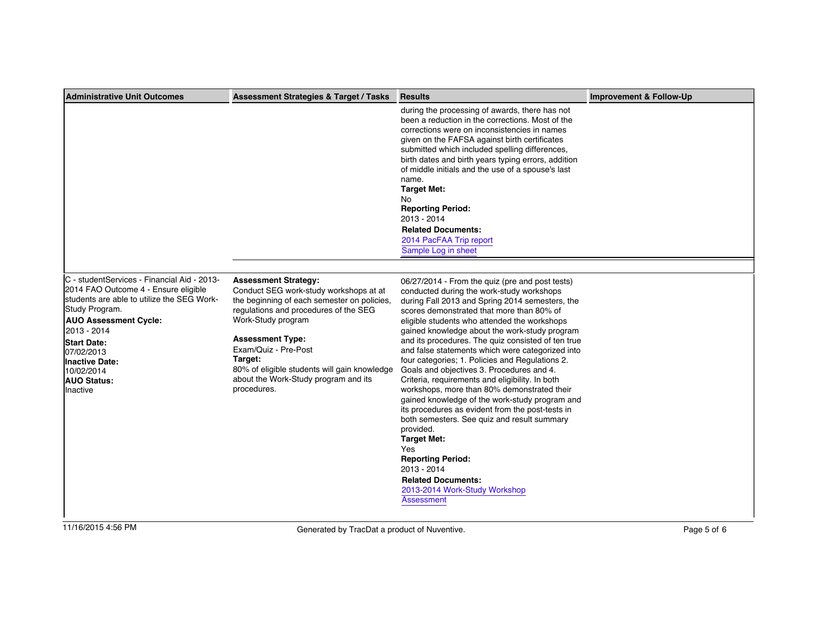| <b>Administrative Unit Outcomes</b>                                                                                                                                                                                                                                                                      | <b>Assessment Strategies &amp; Target / Tasks</b>                                                                                                                                                                                                                                                                                                        | <b>Results</b>                                                                                                                                                                                                                                                                                                                                                                                                                                                                                                                                                                                                                                                                                                                                                                                                                                                                                                                  | <b>Improvement &amp; Follow-Up</b> |
|----------------------------------------------------------------------------------------------------------------------------------------------------------------------------------------------------------------------------------------------------------------------------------------------------------|----------------------------------------------------------------------------------------------------------------------------------------------------------------------------------------------------------------------------------------------------------------------------------------------------------------------------------------------------------|---------------------------------------------------------------------------------------------------------------------------------------------------------------------------------------------------------------------------------------------------------------------------------------------------------------------------------------------------------------------------------------------------------------------------------------------------------------------------------------------------------------------------------------------------------------------------------------------------------------------------------------------------------------------------------------------------------------------------------------------------------------------------------------------------------------------------------------------------------------------------------------------------------------------------------|------------------------------------|
|                                                                                                                                                                                                                                                                                                          |                                                                                                                                                                                                                                                                                                                                                          | during the processing of awards, there has not<br>been a reduction in the corrections. Most of the<br>corrections were on inconsistencies in names<br>given on the FAFSA against birth certificates<br>submitted which included spelling differences,<br>birth dates and birth years typing errors, addition<br>of middle initials and the use of a spouse's last<br>name.<br><b>Target Met:</b><br>No<br><b>Reporting Period:</b><br>2013 - 2014<br><b>Related Documents:</b><br>2014 PacFAA Trip report<br>Sample Log in sheet                                                                                                                                                                                                                                                                                                                                                                                                |                                    |
|                                                                                                                                                                                                                                                                                                          |                                                                                                                                                                                                                                                                                                                                                          |                                                                                                                                                                                                                                                                                                                                                                                                                                                                                                                                                                                                                                                                                                                                                                                                                                                                                                                                 |                                    |
| C - studentServices - Financial Aid - 2013-<br>2014 FAO Outcome 4 - Ensure eligible<br>students are able to utilize the SEG Work-<br>Study Program.<br><b>AUO Assessment Cycle:</b><br>2013 - 2014<br><b>Start Date:</b><br>07/02/2013<br>Inactive Date:<br>10/02/2014<br><b>AUO Status:</b><br>Inactive | <b>Assessment Strategy:</b><br>Conduct SEG work-study workshops at at<br>the beginning of each semester on policies,<br>regulations and procedures of the SEG<br>Work-Study program<br><b>Assessment Type:</b><br>Exam/Quiz - Pre-Post<br>Target:<br>80% of eligible students will gain knowledge<br>about the Work-Study program and its<br>procedures. | 06/27/2014 - From the quiz (pre and post tests)<br>conducted during the work-study workshops<br>during Fall 2013 and Spring 2014 semesters, the<br>scores demonstrated that more than 80% of<br>eligible students who attended the workshops<br>gained knowledge about the work-study program<br>and its procedures. The quiz consisted of ten true<br>and false statements which were categorized into<br>four categories; 1. Policies and Regulations 2.<br>Goals and objectives 3. Procedures and 4.<br>Criteria, requirements and eligibility. In both<br>workshops, more than 80% demonstrated their<br>gained knowledge of the work-study program and<br>its procedures as evident from the post-tests in<br>both semesters. See quiz and result summary<br>provided.<br><b>Target Met:</b><br>Yes<br><b>Reporting Period:</b><br>2013 - 2014<br><b>Related Documents:</b><br>2013-2014 Work-Study Workshop<br>Assessment |                                    |